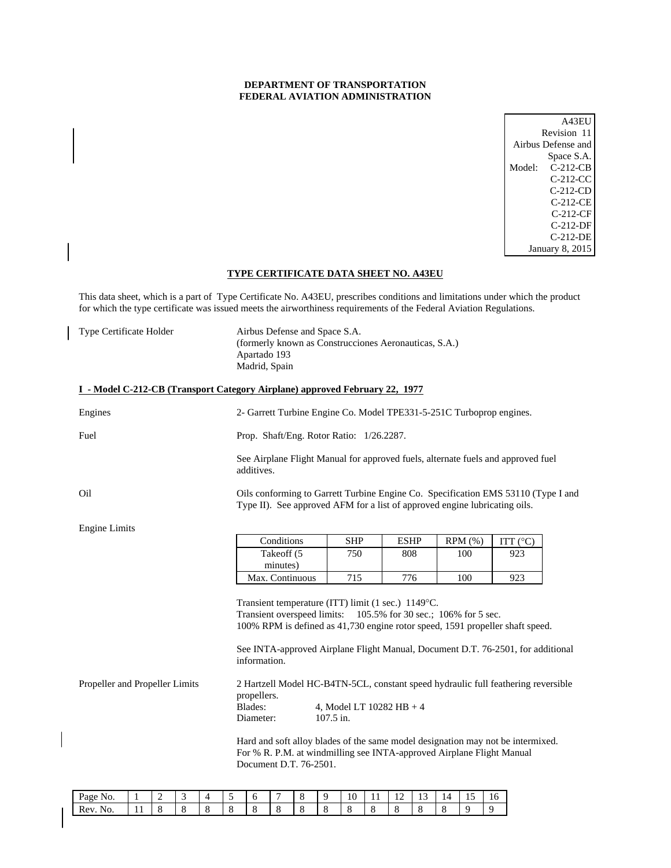## **DEPARTMENT OF TRANSPORTATION FEDERAL AVIATION ADMINISTRATION**

| A43E1                |  |
|----------------------|--|
| Revision 11          |  |
| Airbus Defense and   |  |
| Space S.A.           |  |
| $C-212-CB$<br>Model: |  |
| C-212-CC             |  |
| C-212-CD             |  |
| C-212-CE             |  |
| $C-212-CF$           |  |
| C-212-DF             |  |
| C-212-DE             |  |
| January 8, 2015      |  |

## **TYPE CERTIFICATE DATA SHEET NO. A43EU**

This data sheet, which is a part of Type Certificate No. A43EU, prescribes conditions and limitations under which the product for which the type certificate was issued meets the airworthiness requirements of the Federal Aviation Regulations.

| Type Certificate Holder | Airbus Defense and Space S.A.                         |
|-------------------------|-------------------------------------------------------|
|                         | (formerly known as Construcciones Aeronauticas, S.A.) |
|                         | Apartado 193                                          |
|                         | Madrid, Spain                                         |

## **I - Model C-212-CB (Transport Category Airplane) approved February 22, 1977**

| Engines                                                                                                                                                                                                   | 2- Garrett Turbine Engine Co. Model TPE331-5-251C Turboprop engines.                                                                                                                                                                                                                                      |            |             |         |                   |  |  |
|-----------------------------------------------------------------------------------------------------------------------------------------------------------------------------------------------------------|-----------------------------------------------------------------------------------------------------------------------------------------------------------------------------------------------------------------------------------------------------------------------------------------------------------|------------|-------------|---------|-------------------|--|--|
| Fuel                                                                                                                                                                                                      | Prop. Shaft/Eng. Rotor Ratio: 1/26.2287.                                                                                                                                                                                                                                                                  |            |             |         |                   |  |  |
|                                                                                                                                                                                                           | See Airplane Flight Manual for approved fuels, alternate fuels and approved fuel<br>additives.                                                                                                                                                                                                            |            |             |         |                   |  |  |
| Oil                                                                                                                                                                                                       | Oils conforming to Garrett Turbine Engine Co. Specification EMS 53110 (Type I and<br>Type II). See approved AFM for a list of approved engine lubricating oils.                                                                                                                                           |            |             |         |                   |  |  |
| <b>Engine Limits</b>                                                                                                                                                                                      |                                                                                                                                                                                                                                                                                                           |            |             |         |                   |  |  |
|                                                                                                                                                                                                           | Conditions                                                                                                                                                                                                                                                                                                | <b>SHP</b> | <b>ESHP</b> | RPM (%) | ITT $(^{\circ}C)$ |  |  |
|                                                                                                                                                                                                           | Takeoff (5<br>minutes)                                                                                                                                                                                                                                                                                    | 750        | 808         | 100     | 923               |  |  |
|                                                                                                                                                                                                           | Max. Continuous                                                                                                                                                                                                                                                                                           | 715        | 776         | 100     | 923               |  |  |
|                                                                                                                                                                                                           | Transient temperature (ITT) limit (1 sec.) 1149°C.<br>Transient overspeed limits: 105.5% for 30 sec.; 106% for 5 sec.<br>100% RPM is defined as 41,730 engine rotor speed, 1591 propeller shaft speed.<br>See INTA-approved Airplane Flight Manual, Document D.T. 76-2501, for additional<br>information. |            |             |         |                   |  |  |
| Propeller and Propeller Limits<br>2 Hartzell Model HC-B4TN-5CL, constant speed hydraulic full feathering reversible<br>propellers.<br>Blades:<br>4, Model LT $10282$ HB $+ 4$<br>$107.5$ in.<br>Diameter: |                                                                                                                                                                                                                                                                                                           |            |             |         |                   |  |  |
|                                                                                                                                                                                                           | Hard and soft alloy blades of the same model designation may not be intermixed.<br>For % R. P.M. at windmilling see INTA-approved Airplane Flight Manual<br>Document D.T. 76-2501.                                                                                                                        |            |             |         |                   |  |  |

| Page No. |     |  |  |  |  | 10 | . . | . .<br>-- | -<br>. J | $\overline{4}$<br>. . | --<br>$\cdot$ | 16 |
|----------|-----|--|--|--|--|----|-----|-----------|----------|-----------------------|---------------|----|
| Rev. No. | . . |  |  |  |  |    |     |           |          |                       |               |    |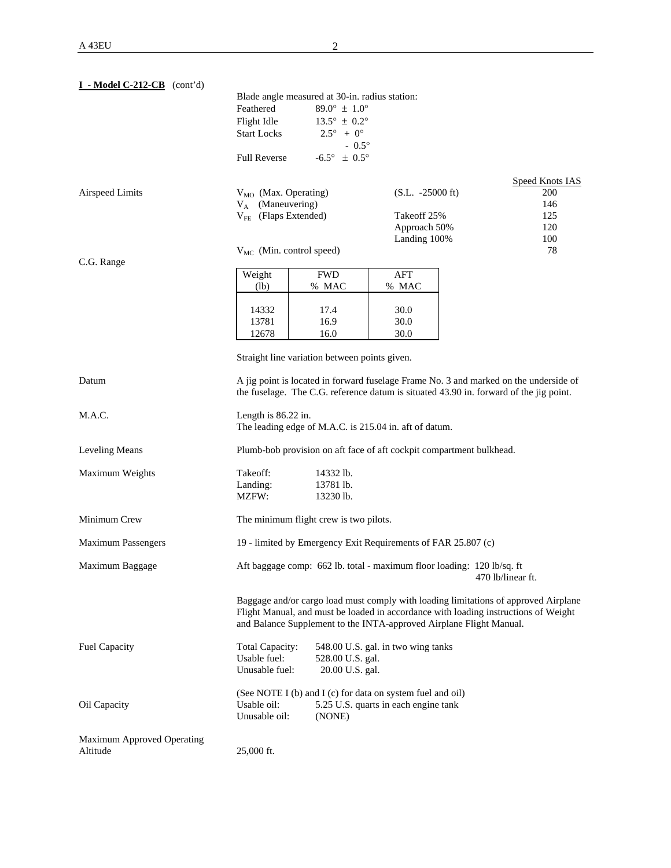| $I - Model C-212-CB$ (cont'd)                 |                                                   |                                                  |                                                                                                    |                                                                                                                                                                                                                                                   |
|-----------------------------------------------|---------------------------------------------------|--------------------------------------------------|----------------------------------------------------------------------------------------------------|---------------------------------------------------------------------------------------------------------------------------------------------------------------------------------------------------------------------------------------------------|
|                                               | Blade angle measured at 30-in. radius station:    |                                                  |                                                                                                    |                                                                                                                                                                                                                                                   |
|                                               | Feathered                                         | $89.0^{\circ} \pm 1.0^{\circ}$                   |                                                                                                    |                                                                                                                                                                                                                                                   |
|                                               | Flight Idle                                       | $13.5^{\circ} \pm 0.2^{\circ}$                   |                                                                                                    |                                                                                                                                                                                                                                                   |
|                                               | <b>Start Locks</b>                                | $2.5^{\circ} + 0^{\circ}$                        |                                                                                                    |                                                                                                                                                                                                                                                   |
|                                               | <b>Full Reverse</b>                               | $-0.5^{\circ}$<br>$-6.5^{\circ} \pm 0.5^{\circ}$ |                                                                                                    |                                                                                                                                                                                                                                                   |
|                                               |                                                   |                                                  |                                                                                                    |                                                                                                                                                                                                                                                   |
|                                               |                                                   |                                                  |                                                                                                    | <b>Speed Knots IAS</b>                                                                                                                                                                                                                            |
| Airspeed Limits                               | $V_{MO}$ (Max. Operating)                         |                                                  | $(S.L. -25000 \text{ ft})$                                                                         | 200                                                                                                                                                                                                                                               |
|                                               | $V_A$ (Maneuvering)                               |                                                  |                                                                                                    | 146                                                                                                                                                                                                                                               |
|                                               | $V_{FE}$ (Flaps Extended)                         |                                                  | Takeoff 25%                                                                                        | 125                                                                                                                                                                                                                                               |
|                                               |                                                   |                                                  | Approach 50%<br>Landing 100%                                                                       | 120<br>100                                                                                                                                                                                                                                        |
|                                               | $V_{MC}$ (Min. control speed)                     |                                                  |                                                                                                    | 78                                                                                                                                                                                                                                                |
| C.G. Range                                    |                                                   |                                                  |                                                                                                    |                                                                                                                                                                                                                                                   |
|                                               | Weight                                            | <b>FWD</b>                                       | AFT                                                                                                |                                                                                                                                                                                                                                                   |
|                                               | $(lb)$                                            | % MAC                                            | % MAC                                                                                              |                                                                                                                                                                                                                                                   |
|                                               | 14332                                             | 17.4                                             | 30.0                                                                                               |                                                                                                                                                                                                                                                   |
|                                               | 13781                                             | 16.9                                             | 30.0                                                                                               |                                                                                                                                                                                                                                                   |
|                                               | 12678                                             | 16.0                                             | 30.0                                                                                               |                                                                                                                                                                                                                                                   |
|                                               |                                                   |                                                  |                                                                                                    |                                                                                                                                                                                                                                                   |
|                                               | Straight line variation between points given.     |                                                  |                                                                                                    |                                                                                                                                                                                                                                                   |
| Datum                                         |                                                   |                                                  |                                                                                                    | A jig point is located in forward fuselage Frame No. 3 and marked on the underside of                                                                                                                                                             |
|                                               |                                                   |                                                  |                                                                                                    | the fuselage. The C.G. reference datum is situated 43.90 in. forward of the jig point.                                                                                                                                                            |
|                                               |                                                   |                                                  |                                                                                                    |                                                                                                                                                                                                                                                   |
| M.A.C.                                        | Length is 86.22 in.                               |                                                  | The leading edge of M.A.C. is 215.04 in. aft of datum.                                             |                                                                                                                                                                                                                                                   |
| <b>Leveling Means</b>                         |                                                   |                                                  |                                                                                                    | Plumb-bob provision on aft face of aft cockpit compartment bulkhead.                                                                                                                                                                              |
| Maximum Weights                               | Takeoff:                                          | 14332 lb.                                        |                                                                                                    |                                                                                                                                                                                                                                                   |
|                                               | Landing:                                          | 13781 lb.                                        |                                                                                                    |                                                                                                                                                                                                                                                   |
|                                               | MZFW:                                             | 13230 lb.                                        |                                                                                                    |                                                                                                                                                                                                                                                   |
| Minimum Crew                                  | The minimum flight crew is two pilots.            |                                                  |                                                                                                    |                                                                                                                                                                                                                                                   |
| <b>Maximum Passengers</b>                     |                                                   |                                                  | 19 - limited by Emergency Exit Requirements of FAR 25.807 (c)                                      |                                                                                                                                                                                                                                                   |
| Maximum Baggage                               |                                                   |                                                  |                                                                                                    | Aft baggage comp: 662 lb. total - maximum floor loading: 120 lb/sq. ft<br>470 lb/linear ft.                                                                                                                                                       |
|                                               |                                                   |                                                  |                                                                                                    | Baggage and/or cargo load must comply with loading limitations of approved Airplane<br>Flight Manual, and must be loaded in accordance with loading instructions of Weight<br>and Balance Supplement to the INTA-approved Airplane Flight Manual. |
| <b>Fuel Capacity</b>                          | Total Capacity:<br>Usable fuel:<br>Unusable fuel: | 528.00 U.S. gal.<br>20.00 U.S. gal.              | 548.00 U.S. gal. in two wing tanks                                                                 |                                                                                                                                                                                                                                                   |
| Oil Capacity                                  | Usable oil:<br>Unusable oil:                      | (NONE)                                           | (See NOTE I (b) and I (c) for data on system fuel and oil)<br>5.25 U.S. quarts in each engine tank |                                                                                                                                                                                                                                                   |
| <b>Maximum Approved Operating</b><br>Altitude | 25,000 ft.                                        |                                                  |                                                                                                    |                                                                                                                                                                                                                                                   |
|                                               |                                                   |                                                  |                                                                                                    |                                                                                                                                                                                                                                                   |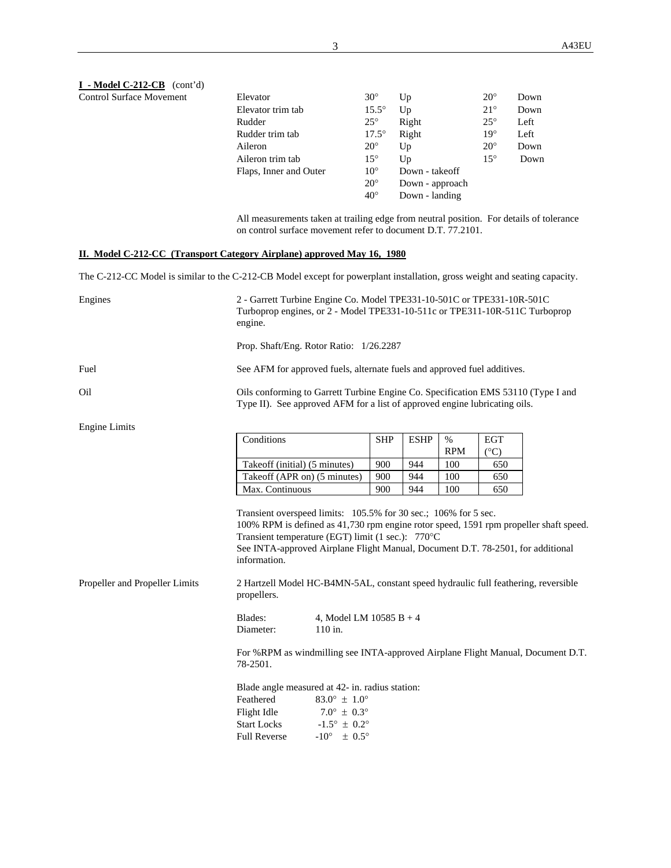### **I - Model C-212-CB** (cont'd) Control Surface Movement

| Elevator               | $30^{\circ}$ | Up              | $20^{\circ}$ | Down |
|------------------------|--------------|-----------------|--------------|------|
| Elevator trim tab      | $15.5^\circ$ | Up              | $21^{\circ}$ | Down |
| Rudder                 | $25^{\circ}$ | Right           | $25^{\circ}$ | Left |
| Rudder trim tab        | $17.5^\circ$ | Right           | $19^\circ$   | Left |
| Aileron                | $20^{\circ}$ | Up              | $20^{\circ}$ | Down |
| Aileron trim tab       | $15^{\circ}$ | $U_{p}$         | $15^{\circ}$ | Down |
| Flaps, Inner and Outer | $10^{\circ}$ | Down - takeoff  |              |      |
|                        | $20^{\circ}$ | Down - approach |              |      |
|                        | $40^{\circ}$ | Down - landing  |              |      |
|                        |              |                 |              |      |

All measurements taken at trailing edge from neutral position. For details of tolerance on control surface movement refer to document D.T. 77.2101.

### **II. Model C-212-CC (Transport Category Airplane) approved May 16, 1980**

The C-212-CC Model is similar to the C-212-CB Model except for powerplant installation, gross weight and seating capacity.

| Engines                        | 2 - Garrett Turbine Engine Co. Model TPE331-10-501C or TPE331-10R-501C<br>Turboprop engines, or 2 - Model TPE331-10-511c or TPE311-10R-511C Turboprop<br>engine.                                                                                                                                                 |            |             |                    |                             |  |
|--------------------------------|------------------------------------------------------------------------------------------------------------------------------------------------------------------------------------------------------------------------------------------------------------------------------------------------------------------|------------|-------------|--------------------|-----------------------------|--|
|                                | Prop. Shaft/Eng. Rotor Ratio: 1/26.2287                                                                                                                                                                                                                                                                          |            |             |                    |                             |  |
| Fuel                           | See AFM for approved fuels, alternate fuels and approved fuel additives.                                                                                                                                                                                                                                         |            |             |                    |                             |  |
| Oil                            | Oils conforming to Garrett Turbine Engine Co. Specification EMS 53110 (Type I and<br>Type II). See approved AFM for a list of approved engine lubricating oils.                                                                                                                                                  |            |             |                    |                             |  |
| <b>Engine Limits</b>           |                                                                                                                                                                                                                                                                                                                  |            |             |                    |                             |  |
|                                | Conditions                                                                                                                                                                                                                                                                                                       | <b>SHP</b> | <b>ESHP</b> | $\%$<br><b>RPM</b> | <b>EGT</b><br>$(^{\circ}C)$ |  |
|                                | Takeoff (initial) (5 minutes)                                                                                                                                                                                                                                                                                    | 900        | 944         | 100                | 650                         |  |
|                                | Takeoff (APR on) (5 minutes)                                                                                                                                                                                                                                                                                     | 900        | 944         | 100                | 650                         |  |
|                                | Max. Continuous                                                                                                                                                                                                                                                                                                  | 900        | 944         | 100                | 650                         |  |
|                                | Transient overspeed limits: 105.5% for 30 sec.; 106% for 5 sec.<br>100% RPM is defined as 41,730 rpm engine rotor speed, 1591 rpm propeller shaft speed.<br>Transient temperature (EGT) limit (1 sec.): 770°C<br>See INTA-approved Airplane Flight Manual, Document D.T. 78-2501, for additional<br>information. |            |             |                    |                             |  |
| Propeller and Propeller Limits | 2 Hartzell Model HC-B4MN-5AL, constant speed hydraulic full feathering, reversible<br>propellers.                                                                                                                                                                                                                |            |             |                    |                             |  |
|                                | Blades:<br>4, Model LM $10585 B + 4$<br>Diameter:<br>110 in.                                                                                                                                                                                                                                                     |            |             |                    |                             |  |
|                                | For %RPM as windmilling see INTA-approved Airplane Flight Manual, Document D.T.<br>78-2501.                                                                                                                                                                                                                      |            |             |                    |                             |  |
|                                | Blade angle measured at 42- in. radius station:<br>$83.0^{\circ} \pm 1.0^{\circ}$<br>Feathered<br>$7.0^{\circ} \pm 0.3^{\circ}$<br>Flight Idle<br><b>Start Locks</b><br>$-1.5^{\circ} \pm 0.2^{\circ}$<br>$-10^{\circ} \pm 0.5^{\circ}$<br><b>Full Reverse</b>                                                   |            |             |                    |                             |  |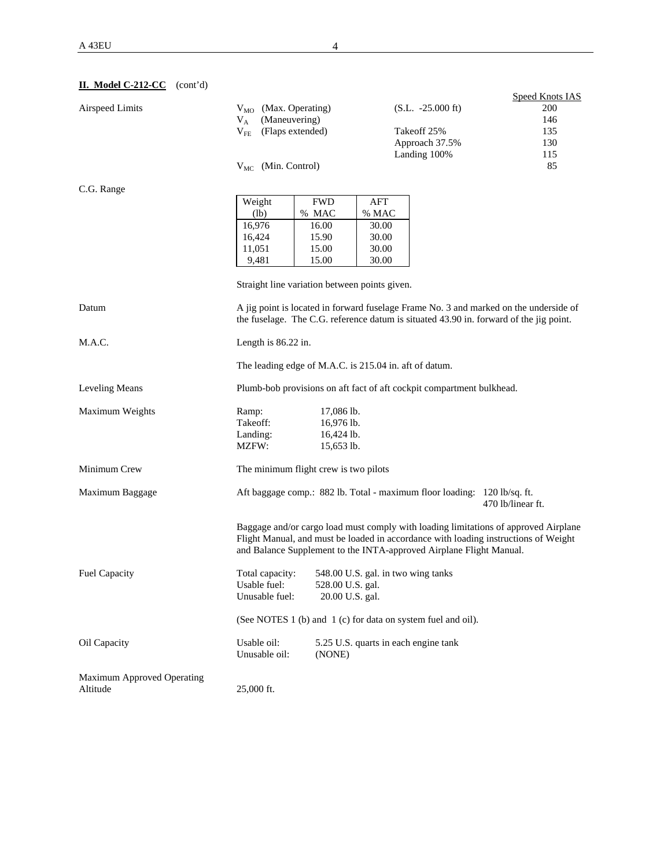|                            |                                                        |                 |                                    |                                                                          | <b>Speed Knots IAS</b>                                                                 |
|----------------------------|--------------------------------------------------------|-----------------|------------------------------------|--------------------------------------------------------------------------|----------------------------------------------------------------------------------------|
| Airspeed Limits            | V <sub>MO</sub> (Max. Operating)                       |                 |                                    | $(S.L. -25.000 \text{ ft})$                                              | 200                                                                                    |
|                            | (Maneuvering)<br>$V_A$                                 |                 |                                    |                                                                          | 146                                                                                    |
|                            | $V_{FE}$<br>(Flaps extended)                           |                 |                                    | Takeoff 25%                                                              | 135                                                                                    |
|                            |                                                        |                 |                                    | Approach 37.5%                                                           | 130                                                                                    |
|                            |                                                        |                 |                                    | Landing 100%                                                             | 115                                                                                    |
|                            | $V_{MC}$ (Min. Control)                                |                 |                                    |                                                                          | 85                                                                                     |
|                            |                                                        |                 |                                    |                                                                          |                                                                                        |
| C.G. Range                 |                                                        |                 |                                    |                                                                          |                                                                                        |
|                            |                                                        | <b>FWD</b>      |                                    |                                                                          |                                                                                        |
|                            | Weight                                                 |                 | AFT                                |                                                                          |                                                                                        |
|                            | (lb)                                                   | % MAC           | % MAC                              |                                                                          |                                                                                        |
|                            | 16,976                                                 | 16.00           | 30.00                              |                                                                          |                                                                                        |
|                            | 16,424                                                 | 15.90           | 30.00                              |                                                                          |                                                                                        |
|                            | 11,051                                                 | 15.00           | 30.00                              |                                                                          |                                                                                        |
|                            | 9,481                                                  | 15.00           | 30.00                              |                                                                          |                                                                                        |
|                            |                                                        |                 |                                    |                                                                          |                                                                                        |
|                            | Straight line variation between points given.          |                 |                                    |                                                                          |                                                                                        |
| Datum                      |                                                        |                 |                                    |                                                                          | A jig point is located in forward fuselage Frame No. 3 and marked on the underside of  |
|                            |                                                        |                 |                                    |                                                                          | the fuselage. The C.G. reference datum is situated 43.90 in. forward of the jig point. |
|                            |                                                        |                 |                                    |                                                                          |                                                                                        |
| M.A.C.                     | Length is 86.22 in.                                    |                 |                                    |                                                                          |                                                                                        |
|                            |                                                        |                 |                                    |                                                                          |                                                                                        |
|                            | The leading edge of M.A.C. is 215.04 in. aft of datum. |                 |                                    |                                                                          |                                                                                        |
| Leveling Means             |                                                        |                 |                                    | Plumb-bob provisions on aft fact of aft cockpit compartment bulkhead.    |                                                                                        |
|                            |                                                        |                 |                                    |                                                                          |                                                                                        |
| Maximum Weights            | Ramp:                                                  | $17,086$ lb.    |                                    |                                                                          |                                                                                        |
|                            | Takeoff:                                               | 16,976 lb.      |                                    |                                                                          |                                                                                        |
|                            | Landing:                                               | 16,424 lb.      |                                    |                                                                          |                                                                                        |
|                            | MZFW:                                                  | 15,653 lb.      |                                    |                                                                          |                                                                                        |
|                            |                                                        |                 |                                    |                                                                          |                                                                                        |
| Minimum Crew               | The minimum flight crew is two pilots                  |                 |                                    |                                                                          |                                                                                        |
|                            |                                                        |                 |                                    |                                                                          |                                                                                        |
| Maximum Baggage            |                                                        |                 |                                    | Aft baggage comp.: 882 lb. Total - maximum floor loading: 120 lb/sq. ft. | 470 lb/linear ft.                                                                      |
|                            |                                                        |                 |                                    |                                                                          |                                                                                        |
|                            |                                                        |                 |                                    |                                                                          | Baggage and/or cargo load must comply with loading limitations of approved Airplane    |
|                            |                                                        |                 |                                    |                                                                          | Flight Manual, and must be loaded in accordance with loading instructions of Weight    |
|                            |                                                        |                 |                                    | and Balance Supplement to the INTA-approved Airplane Flight Manual.      |                                                                                        |
|                            |                                                        |                 |                                    |                                                                          |                                                                                        |
| <b>Fuel Capacity</b>       | Total capacity:                                        |                 | 548.00 U.S. gal. in two wing tanks |                                                                          |                                                                                        |
|                            | Usable fuel:                                           |                 | 528.00 U.S. gal.                   |                                                                          |                                                                                        |
|                            | Unusable fuel:                                         | 20.00 U.S. gal. |                                    |                                                                          |                                                                                        |
|                            |                                                        |                 |                                    |                                                                          |                                                                                        |
|                            |                                                        |                 |                                    | (See NOTES 1 (b) and 1 (c) for data on system fuel and oil).             |                                                                                        |
| Oil Capacity               | Usable oil:                                            |                 |                                    | 5.25 U.S. quarts in each engine tank                                     |                                                                                        |
|                            |                                                        |                 |                                    |                                                                          |                                                                                        |
|                            | Unusable oil:                                          | (NONE)          |                                    |                                                                          |                                                                                        |
| Maximum Approved Operating |                                                        |                 |                                    |                                                                          |                                                                                        |
|                            |                                                        |                 |                                    |                                                                          |                                                                                        |
| Altitude                   | 25,000 ft.                                             |                 |                                    |                                                                          |                                                                                        |

## **II. Model C-212-CC** (cont'd)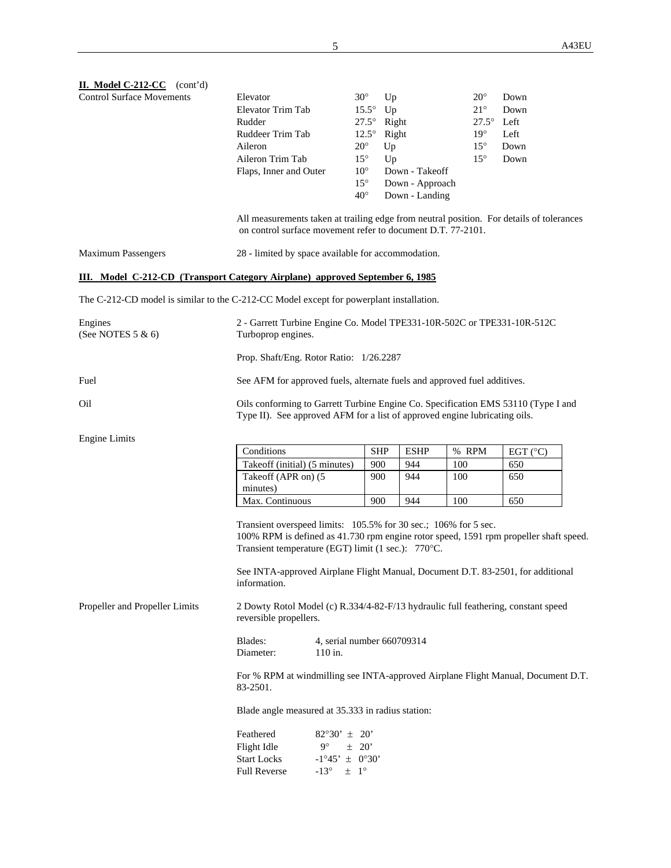| II. Model C-212-CC (cont'd)                                                             |                                                                                                                                                                                                                |                                                                                                                                                                 |                           |              |                   |  |  |  |
|-----------------------------------------------------------------------------------------|----------------------------------------------------------------------------------------------------------------------------------------------------------------------------------------------------------------|-----------------------------------------------------------------------------------------------------------------------------------------------------------------|---------------------------|--------------|-------------------|--|--|--|
| <b>Control Surface Movements</b>                                                        | Elevator                                                                                                                                                                                                       | $30^\circ$                                                                                                                                                      | Up                        | $20^{\circ}$ | Down              |  |  |  |
|                                                                                         | Elevator Trim Tab                                                                                                                                                                                              | $15.5^\circ$                                                                                                                                                    | Up                        | $21^{\circ}$ | Down              |  |  |  |
|                                                                                         | Rudder                                                                                                                                                                                                         | $27.5^\circ$                                                                                                                                                    | Right                     | $27.5^\circ$ | Left              |  |  |  |
|                                                                                         | Ruddeer Trim Tab                                                                                                                                                                                               | $12.5^\circ$                                                                                                                                                    | Right                     | $19^{\circ}$ | Left              |  |  |  |
|                                                                                         | Aileron                                                                                                                                                                                                        | $20^{\circ}$                                                                                                                                                    | Up                        | $15^{\circ}$ | Down              |  |  |  |
|                                                                                         | Aileron Trim Tab                                                                                                                                                                                               | $15^{\circ}$                                                                                                                                                    |                           | $15^{\circ}$ | Down              |  |  |  |
|                                                                                         |                                                                                                                                                                                                                |                                                                                                                                                                 | Up                        |              |                   |  |  |  |
|                                                                                         | Flaps, Inner and Outer                                                                                                                                                                                         | $10^{\circ}$                                                                                                                                                    | Down - Takeoff            |              |                   |  |  |  |
|                                                                                         |                                                                                                                                                                                                                | $15^{\circ}$                                                                                                                                                    | Down - Approach           |              |                   |  |  |  |
|                                                                                         |                                                                                                                                                                                                                | $40^{\circ}$                                                                                                                                                    | Down - Landing            |              |                   |  |  |  |
|                                                                                         | All measurements taken at trailing edge from neutral position. For details of tolerances<br>on control surface movement refer to document D.T. 77-2101.                                                        |                                                                                                                                                                 |                           |              |                   |  |  |  |
| <b>Maximum Passengers</b>                                                               | 28 - limited by space available for accommodation.                                                                                                                                                             |                                                                                                                                                                 |                           |              |                   |  |  |  |
| <b>III.</b> Model C-212-CD (Transport Category Airplane) approved September 6, 1985     |                                                                                                                                                                                                                |                                                                                                                                                                 |                           |              |                   |  |  |  |
| The C-212-CD model is similar to the C-212-CC Model except for powerplant installation. |                                                                                                                                                                                                                |                                                                                                                                                                 |                           |              |                   |  |  |  |
| Engines<br>(See NOTES 5 & 6)                                                            | 2 - Garrett Turbine Engine Co. Model TPE331-10R-502C or TPE331-10R-512C<br>Turboprop engines.                                                                                                                  |                                                                                                                                                                 |                           |              |                   |  |  |  |
|                                                                                         |                                                                                                                                                                                                                | Prop. Shaft/Eng. Rotor Ratio: 1/26.2287                                                                                                                         |                           |              |                   |  |  |  |
| Fuel                                                                                    | See AFM for approved fuels, alternate fuels and approved fuel additives.                                                                                                                                       |                                                                                                                                                                 |                           |              |                   |  |  |  |
| Oil                                                                                     |                                                                                                                                                                                                                | Oils conforming to Garrett Turbine Engine Co. Specification EMS 53110 (Type I and<br>Type II). See approved AFM for a list of approved engine lubricating oils. |                           |              |                   |  |  |  |
| <b>Engine Limits</b>                                                                    |                                                                                                                                                                                                                |                                                                                                                                                                 |                           |              |                   |  |  |  |
|                                                                                         | Conditions                                                                                                                                                                                                     |                                                                                                                                                                 | <b>SHP</b><br><b>ESHP</b> | % RPM        | EGT $(^{\circ}C)$ |  |  |  |
|                                                                                         | Takeoff (initial) (5 minutes)                                                                                                                                                                                  | 900                                                                                                                                                             | 944                       | 100          | 650               |  |  |  |
|                                                                                         | Takeoff (APR on) (5                                                                                                                                                                                            | 900                                                                                                                                                             | 944                       | 100          | 650               |  |  |  |
|                                                                                         | minutes)                                                                                                                                                                                                       |                                                                                                                                                                 |                           |              |                   |  |  |  |
|                                                                                         | Max. Continuous                                                                                                                                                                                                | 900                                                                                                                                                             | 944                       | 100          | 650               |  |  |  |
|                                                                                         |                                                                                                                                                                                                                |                                                                                                                                                                 |                           |              |                   |  |  |  |
|                                                                                         | Transient overspeed limits: 105.5% for 30 sec.; 106% for 5 sec.<br>100% RPM is defined as 41.730 rpm engine rotor speed, 1591 rpm propeller shaft speed.<br>Transient temperature (EGT) limit (1 sec.): 770°C. |                                                                                                                                                                 |                           |              |                   |  |  |  |
|                                                                                         | See INTA-approved Airplane Flight Manual, Document D.T. 83-2501, for additional<br>information.                                                                                                                |                                                                                                                                                                 |                           |              |                   |  |  |  |
| Propeller and Propeller Limits                                                          | 2 Dowty Rotol Model (c) R.334/4-82-F/13 hydraulic full feathering, constant speed<br>reversible propellers.                                                                                                    |                                                                                                                                                                 |                           |              |                   |  |  |  |
|                                                                                         | Blades:<br>4, serial number 660709314<br>Diameter:<br>$110$ in.                                                                                                                                                |                                                                                                                                                                 |                           |              |                   |  |  |  |
|                                                                                         | For % RPM at windmilling see INTA-approved Airplane Flight Manual, Document D.T.<br>83-2501.                                                                                                                   |                                                                                                                                                                 |                           |              |                   |  |  |  |
|                                                                                         | Blade angle measured at 35.333 in radius station:                                                                                                                                                              |                                                                                                                                                                 |                           |              |                   |  |  |  |
|                                                                                         | Feathered<br>$82^{\circ}30' \pm 20'$                                                                                                                                                                           |                                                                                                                                                                 |                           |              |                   |  |  |  |
|                                                                                         | $9^{\circ}$<br>Flight Idle                                                                                                                                                                                     | $\pm$ 20'                                                                                                                                                       |                           |              |                   |  |  |  |
|                                                                                         | <b>Start Locks</b><br>$-1^{\circ}45' \pm 0^{\circ}30'$                                                                                                                                                         |                                                                                                                                                                 |                           |              |                   |  |  |  |
|                                                                                         | <b>Full Reverse</b><br>$-13^{\circ}$ $\pm$ 1°                                                                                                                                                                  |                                                                                                                                                                 |                           |              |                   |  |  |  |
|                                                                                         |                                                                                                                                                                                                                |                                                                                                                                                                 |                           |              |                   |  |  |  |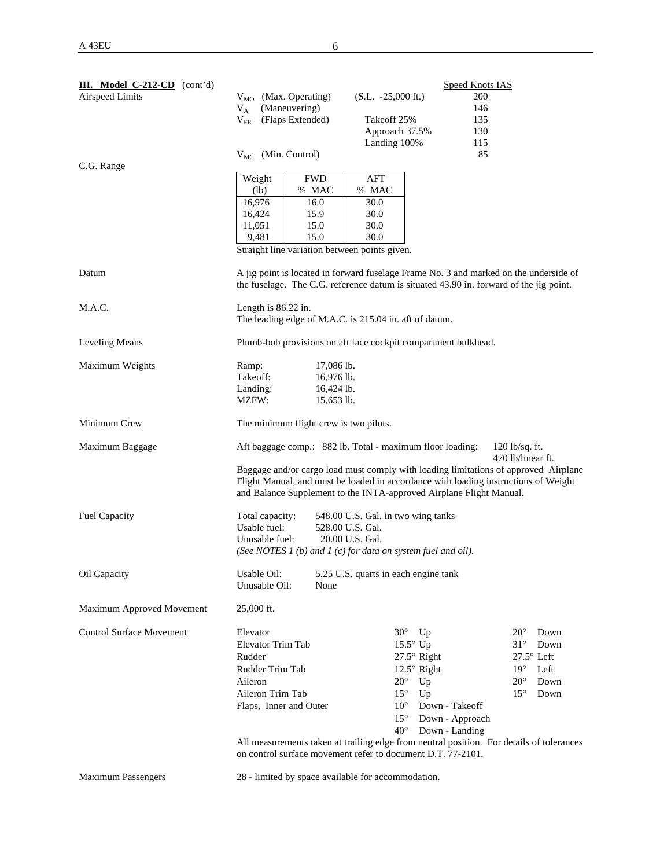| III. Model C-212-CD (cont'd)    |                                                                                                    |              |                                      |                      | <b>Speed Knots IAS</b> |                     |      |
|---------------------------------|----------------------------------------------------------------------------------------------------|--------------|--------------------------------------|----------------------|------------------------|---------------------|------|
| <b>Airspeed Limits</b>          | $V_{MO}$ (Max. Operating)                                                                          |              | $(S.L. -25,000 \text{ ft.})$         |                      | 200                    |                     |      |
|                                 | (Maneuvering)<br>$V_A$                                                                             |              |                                      |                      | 146                    |                     |      |
|                                 | (Flaps Extended)<br>$V_{FE}$                                                                       |              | Takeoff 25%                          |                      | 135                    |                     |      |
|                                 |                                                                                                    |              | Approach 37.5%                       |                      | 130                    |                     |      |
|                                 |                                                                                                    |              | Landing 100%                         |                      | 115                    |                     |      |
|                                 | $V_{MC}$ (Min. Control)                                                                            |              |                                      |                      | 85                     |                     |      |
| C.G. Range                      |                                                                                                    |              |                                      |                      |                        |                     |      |
|                                 | Weight                                                                                             | <b>FWD</b>   | AFT                                  |                      |                        |                     |      |
|                                 | (lb)                                                                                               | % MAC        | % MAC                                |                      |                        |                     |      |
|                                 | 16,976                                                                                             | 16.0         | 30.0                                 |                      |                        |                     |      |
|                                 | 16,424                                                                                             | 15.9         | 30.0                                 |                      |                        |                     |      |
|                                 | 11,051                                                                                             | 15.0         | 30.0                                 |                      |                        |                     |      |
|                                 | 9,481                                                                                              | 15.0         | 30.0                                 |                      |                        |                     |      |
|                                 | Straight line variation between points given.                                                      |              |                                      |                      |                        |                     |      |
| Datum                           | A jig point is located in forward fuselage Frame No. 3 and marked on the underside of              |              |                                      |                      |                        |                     |      |
|                                 | the fuselage. The C.G. reference datum is situated 43.90 in. forward of the jig point.             |              |                                      |                      |                        |                     |      |
|                                 |                                                                                                    |              |                                      |                      |                        |                     |      |
| M.A.C.                          | Length is $86.22$ in.                                                                              |              |                                      |                      |                        |                     |      |
|                                 | The leading edge of M.A.C. is 215.04 in. aft of datum.                                             |              |                                      |                      |                        |                     |      |
|                                 |                                                                                                    |              |                                      |                      |                        |                     |      |
| Leveling Means                  | Plumb-bob provisions on aft face cockpit compartment bulkhead.                                     |              |                                      |                      |                        |                     |      |
| Maximum Weights                 | Ramp:                                                                                              | $17,086$ lb. |                                      |                      |                        |                     |      |
|                                 | Takeoff:                                                                                           | 16,976 lb.   |                                      |                      |                        |                     |      |
|                                 | 16,424 lb.<br>Landing:                                                                             |              |                                      |                      |                        |                     |      |
|                                 | MZFW:                                                                                              | 15,653 lb.   |                                      |                      |                        |                     |      |
|                                 |                                                                                                    |              |                                      |                      |                        |                     |      |
| Minimum Crew                    | The minimum flight crew is two pilots.                                                             |              |                                      |                      |                        |                     |      |
|                                 |                                                                                                    |              |                                      |                      |                        |                     |      |
| Maximum Baggage                 | Aft baggage comp.: 882 lb. Total - maximum floor loading:<br>$120$ lb/sq. ft.<br>470 lb/linear ft. |              |                                      |                      |                        |                     |      |
|                                 | Baggage and/or cargo load must comply with loading limitations of approved Airplane                |              |                                      |                      |                        |                     |      |
|                                 | Flight Manual, and must be loaded in accordance with loading instructions of Weight                |              |                                      |                      |                        |                     |      |
|                                 | and Balance Supplement to the INTA-approved Airplane Flight Manual.                                |              |                                      |                      |                        |                     |      |
|                                 |                                                                                                    |              |                                      |                      |                        |                     |      |
| <b>Fuel Capacity</b>            | Total capacity:                                                                                    |              | 548.00 U.S. Gal. in two wing tanks   |                      |                        |                     |      |
|                                 | Usable fuel:                                                                                       |              | 528.00 U.S. Gal.                     |                      |                        |                     |      |
|                                 | Unusable fuel:                                                                                     |              | 20.00 U.S. Gal.                      |                      |                        |                     |      |
|                                 | (See NOTES 1 (b) and 1 (c) for data on system fuel and oil).                                       |              |                                      |                      |                        |                     |      |
| Oil Capacity                    | Usable Oil:                                                                                        |              | 5.25 U.S. quarts in each engine tank |                      |                        |                     |      |
|                                 | Unusable Oil:                                                                                      | None         |                                      |                      |                        |                     |      |
|                                 |                                                                                                    |              |                                      |                      |                        |                     |      |
| Maximum Approved Movement       | 25,000 ft.                                                                                         |              |                                      |                      |                        |                     |      |
|                                 |                                                                                                    |              |                                      |                      |                        |                     |      |
| <b>Control Surface Movement</b> | Elevator                                                                                           |              | $30^\circ$                           | Up                   |                        | $20^{\circ}$        | Down |
|                                 | Elevator Trim Tab                                                                                  |              |                                      | $15.5^{\circ}$ Up    |                        | $31^\circ$          | Down |
|                                 | Rudder                                                                                             |              |                                      | $27.5^{\circ}$ Right |                        | $27.5^{\circ}$ Left |      |
|                                 | Rudder Trim Tab                                                                                    |              |                                      | 12.5° Right          |                        | $19^\circ$          | Left |
|                                 | Aileron                                                                                            |              | $20^{\circ}$                         | Up                   |                        | $20^{\circ}$        | Down |
|                                 | Aileron Trim Tab                                                                                   |              | $15^{\circ}$                         | Up                   |                        | $15^{\circ}$        | Down |
|                                 | Flaps, Inner and Outer                                                                             |              | $10^{\circ}$                         |                      | Down - Takeoff         |                     |      |
|                                 |                                                                                                    |              | $15^{\circ}$                         |                      | Down - Approach        |                     |      |
|                                 |                                                                                                    |              | $40^{\circ}$                         |                      | Down - Landing         |                     |      |
|                                 | All measurements taken at trailing edge from neutral position. For details of tolerances           |              |                                      |                      |                        |                     |      |
|                                 | on control surface movement refer to document D.T. 77-2101.                                        |              |                                      |                      |                        |                     |      |

Maximum Passengers 28 - limited by space available for accommodation.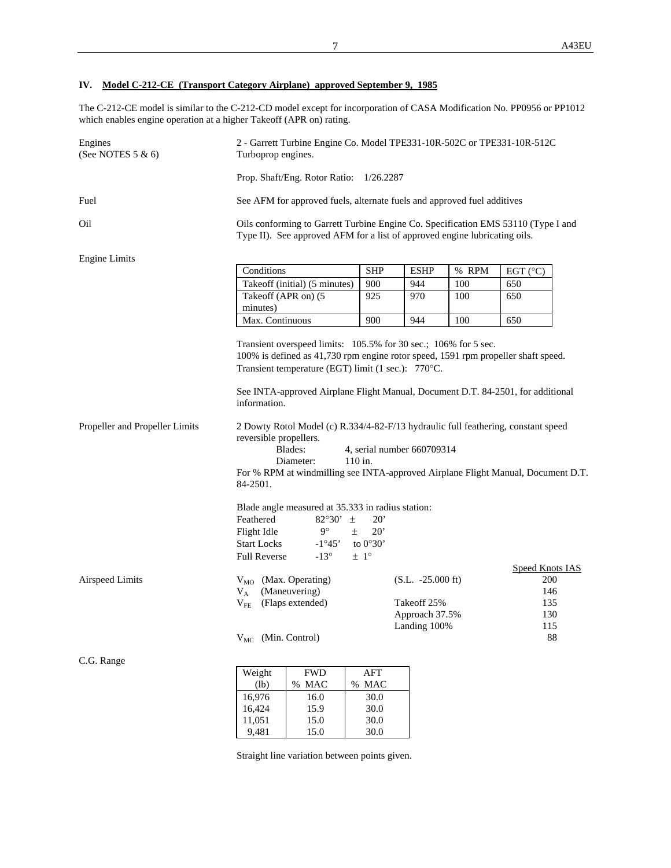## **IV. Model C-212-CE (Transport Category Airplane) approved September 9, 1985**

The C-212-CE model is similar to the C-212-CD model except for incorporation of CASA Modification No. PP0956 or PP1012 which enables engine operation at a higher Takeoff (APR on) rating.

| Engines<br>(See NOTES 5 & 6)   | 2 - Garrett Turbine Engine Co. Model TPE331-10R-502C or TPE331-10R-512C<br>Turboprop engines.                                                                                                                                                                                                                                                                                                      |                                     |                                                                              |       |                                                                 |  |  |
|--------------------------------|----------------------------------------------------------------------------------------------------------------------------------------------------------------------------------------------------------------------------------------------------------------------------------------------------------------------------------------------------------------------------------------------------|-------------------------------------|------------------------------------------------------------------------------|-------|-----------------------------------------------------------------|--|--|
|                                | Prop. Shaft/Eng. Rotor Ratio: 1/26.2287                                                                                                                                                                                                                                                                                                                                                            |                                     |                                                                              |       |                                                                 |  |  |
| Fuel                           | See AFM for approved fuels, alternate fuels and approved fuel additives                                                                                                                                                                                                                                                                                                                            |                                     |                                                                              |       |                                                                 |  |  |
| Oil                            | Oils conforming to Garrett Turbine Engine Co. Specification EMS 53110 (Type I and<br>Type II). See approved AFM for a list of approved engine lubricating oils.                                                                                                                                                                                                                                    |                                     |                                                                              |       |                                                                 |  |  |
| <b>Engine Limits</b>           |                                                                                                                                                                                                                                                                                                                                                                                                    |                                     |                                                                              |       |                                                                 |  |  |
|                                | Conditions                                                                                                                                                                                                                                                                                                                                                                                         | <b>SHP</b>                          | <b>ESHP</b>                                                                  | % RPM | EGT $(^{\circ}C)$                                               |  |  |
|                                | Takeoff (initial) $(5 \text{ minutes})$                                                                                                                                                                                                                                                                                                                                                            | 900                                 | 944                                                                          | 100   | 650                                                             |  |  |
|                                | Takeoff (APR on) (5<br>minutes)                                                                                                                                                                                                                                                                                                                                                                    | 925                                 | 970                                                                          | 100   | 650                                                             |  |  |
|                                | Max. Continuous                                                                                                                                                                                                                                                                                                                                                                                    | 900                                 | 944                                                                          | 100   | 650                                                             |  |  |
| Propeller and Propeller Limits | 100% is defined as 41,730 rpm engine rotor speed, 1591 rpm propeller shaft speed.<br>Transient temperature (EGT) limit (1 sec.): 770°C.<br>See INTA-approved Airplane Flight Manual, Document D.T. 84-2501, for additional<br>information.<br>2 Dowty Rotol Model (c) R.334/4-82-F/13 hydraulic full feathering, constant speed<br>reversible propellers.<br>Blades:<br>4, serial number 660709314 |                                     |                                                                              |       |                                                                 |  |  |
|                                | Diameter:<br>For % RPM at windmilling see INTA-approved Airplane Flight Manual, Document D.T.<br>84-2501.<br>Blade angle measured at 35.333 in radius station:<br>Feathered<br>82°30' $\pm$<br>$9^{\circ}$<br>Flight Idle<br>±.<br><b>Start Locks</b><br>$-1^{\circ}45'$                                                                                                                           | 110 in.<br>20'<br>20'<br>to $0°30'$ |                                                                              |       |                                                                 |  |  |
| <b>Airspeed Limits</b>         | <b>Full Reverse</b><br>$-13^\circ$<br>V <sub>MO</sub> (Max. Operating)<br>(Maneuvering)<br>$V_A$<br>(Flaps extended)<br>$V_{FE}$<br>V <sub>MC</sub> (Min. Control)                                                                                                                                                                                                                                 | $\pm$ 1°                            | $(S.L. -25.000 \text{ ft})$<br>Takeoff 25%<br>Approach 37.5%<br>Landing 100% |       | <b>Speed Knots IAS</b><br>200<br>146<br>135<br>130<br>115<br>88 |  |  |
| C.G. Range                     |                                                                                                                                                                                                                                                                                                                                                                                                    |                                     |                                                                              |       |                                                                 |  |  |
|                                | <b>FWD</b><br>Weight<br>% MAC                                                                                                                                                                                                                                                                                                                                                                      | AFT<br>% MAC                        |                                                                              |       |                                                                 |  |  |
|                                | (lb)<br>16,976<br>16.0                                                                                                                                                                                                                                                                                                                                                                             | 30.0                                |                                                                              |       |                                                                 |  |  |
|                                | 16,424<br>15.9                                                                                                                                                                                                                                                                                                                                                                                     | $30.0\,$                            |                                                                              |       |                                                                 |  |  |

Straight line variation between points given.

11,051 15.0 30.0 9,481 15.0 30.0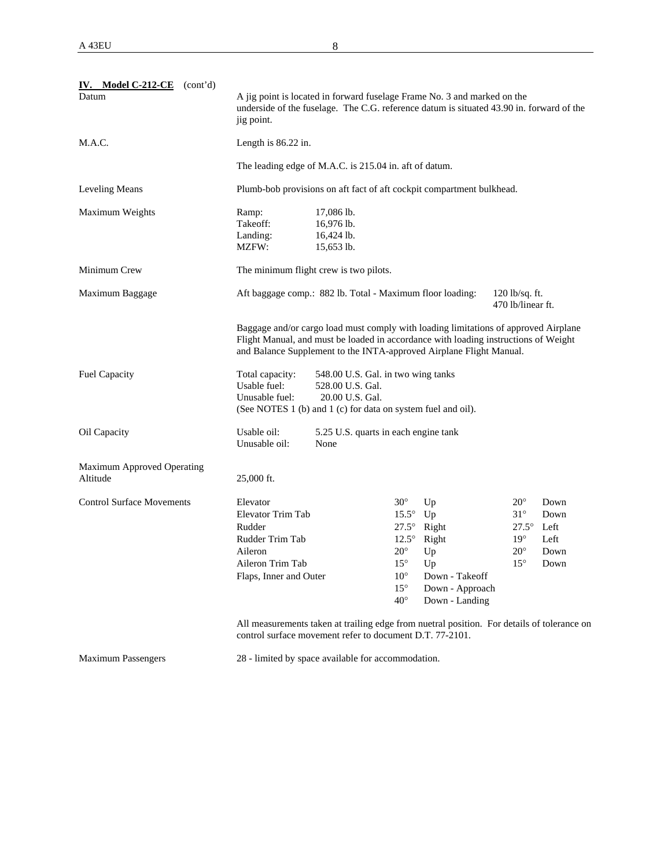| IV. Model C-212-CE<br>(cont'd)<br>Datum       | A jig point is located in forward fuselage Frame No. 3 and marked on the<br>underside of the fuselage. The C.G. reference datum is situated 43.90 in. forward of the<br>jig point.             |                                                                                                                                                                                                                                                   |                                                                                                                                            |                                                                                                    |                                                                                              |                                              |  |  |  |
|-----------------------------------------------|------------------------------------------------------------------------------------------------------------------------------------------------------------------------------------------------|---------------------------------------------------------------------------------------------------------------------------------------------------------------------------------------------------------------------------------------------------|--------------------------------------------------------------------------------------------------------------------------------------------|----------------------------------------------------------------------------------------------------|----------------------------------------------------------------------------------------------|----------------------------------------------|--|--|--|
| M.A.C.                                        |                                                                                                                                                                                                | Length is $86.22$ in.                                                                                                                                                                                                                             |                                                                                                                                            |                                                                                                    |                                                                                              |                                              |  |  |  |
|                                               |                                                                                                                                                                                                | The leading edge of M.A.C. is 215.04 in. aft of datum.                                                                                                                                                                                            |                                                                                                                                            |                                                                                                    |                                                                                              |                                              |  |  |  |
| Leveling Means                                |                                                                                                                                                                                                | Plumb-bob provisions on aft fact of aft cockpit compartment bulkhead.                                                                                                                                                                             |                                                                                                                                            |                                                                                                    |                                                                                              |                                              |  |  |  |
| Maximum Weights                               | 17,086 lb.<br>Ramp:<br>Takeoff:<br>16,976 lb.<br>16,424 lb.<br>Landing:<br>MZFW:<br>15,653 lb.                                                                                                 |                                                                                                                                                                                                                                                   |                                                                                                                                            |                                                                                                    |                                                                                              |                                              |  |  |  |
| Minimum Crew                                  |                                                                                                                                                                                                | The minimum flight crew is two pilots.                                                                                                                                                                                                            |                                                                                                                                            |                                                                                                    |                                                                                              |                                              |  |  |  |
| Maximum Baggage                               | Aft baggage comp.: 882 lb. Total - Maximum floor loading:<br>$120$ lb/sq. ft.<br>470 lb/linear ft.                                                                                             |                                                                                                                                                                                                                                                   |                                                                                                                                            |                                                                                                    |                                                                                              |                                              |  |  |  |
|                                               |                                                                                                                                                                                                | Baggage and/or cargo load must comply with loading limitations of approved Airplane<br>Flight Manual, and must be loaded in accordance with loading instructions of Weight<br>and Balance Supplement to the INTA-approved Airplane Flight Manual. |                                                                                                                                            |                                                                                                    |                                                                                              |                                              |  |  |  |
| <b>Fuel Capacity</b>                          | Total capacity:<br>548.00 U.S. Gal. in two wing tanks<br>Usable fuel:<br>528.00 U.S. Gal.<br>Unusable fuel:<br>20.00 U.S. Gal.<br>(See NOTES 1 (b) and 1 (c) for data on system fuel and oil). |                                                                                                                                                                                                                                                   |                                                                                                                                            |                                                                                                    |                                                                                              |                                              |  |  |  |
| Oil Capacity                                  | Usable oil:<br>Unusable oil:                                                                                                                                                                   | 5.25 U.S. quarts in each engine tank<br>None                                                                                                                                                                                                      |                                                                                                                                            |                                                                                                    |                                                                                              |                                              |  |  |  |
| <b>Maximum Approved Operating</b><br>Altitude | 25,000 ft.                                                                                                                                                                                     |                                                                                                                                                                                                                                                   |                                                                                                                                            |                                                                                                    |                                                                                              |                                              |  |  |  |
| <b>Control Surface Movements</b>              | Elevator<br><b>Elevator Trim Tab</b><br>Rudder<br>Rudder Trim Tab<br>Aileron<br>Aileron Trim Tab<br>Flaps, Inner and Outer                                                                     |                                                                                                                                                                                                                                                   | $30^\circ$<br>$15.5^\circ$<br>$27.5^\circ$<br>$12.5^\circ$<br>$20^{\circ}$<br>$15^{\circ}$<br>$10^{\circ}$<br>$15^{\circ}$<br>$40^{\circ}$ | Up<br>Up<br>Right<br>Right<br>Up<br>$U_{p}$<br>Down - Takeoff<br>Down - Approach<br>Down - Landing | $20^{\circ}$<br>$31^{\circ}$<br>$27.5^\circ$<br>$19^{\circ}$<br>$20^{\circ}$<br>$15^{\circ}$ | Down<br>Down<br>Left<br>Left<br>Down<br>Down |  |  |  |
|                                               | All measurements taken at trailing edge from nuetral position. For details of tolerance on<br>control surface movement refer to document D.T. 77-2101.                                         |                                                                                                                                                                                                                                                   |                                                                                                                                            |                                                                                                    |                                                                                              |                                              |  |  |  |

Maximum Passengers 28 - limited by space available for accommodation.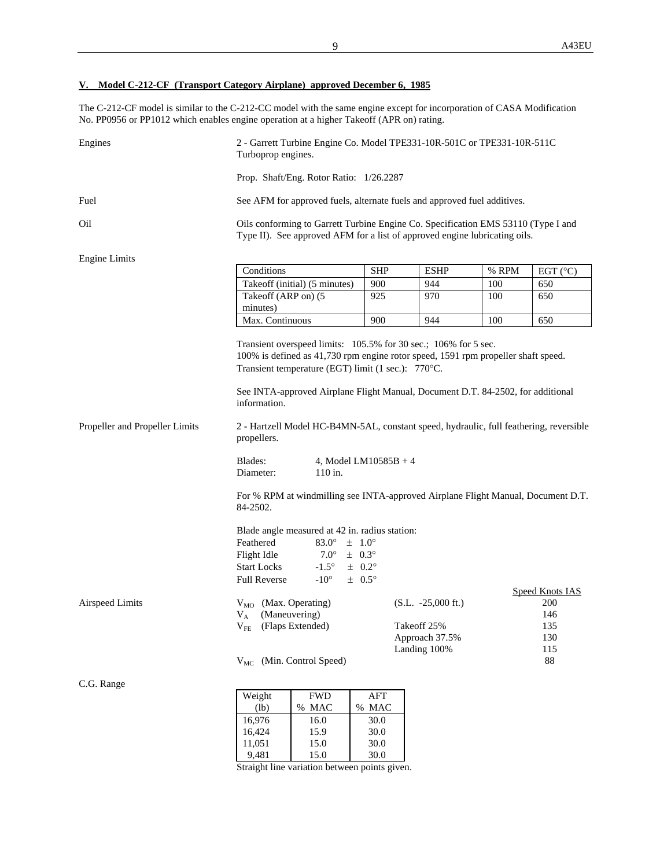## **V. Model C-212-CF (Transport Category Airplane) approved December 6, 1985**

The C-212-CF model is similar to the C-212-CC model with the same engine except for incorporation of CASA Modification No. PP0956 or PP1012 which enables engine operation at a higher Takeoff (APR on) rating.

| Engines                        | 2 - Garrett Turbine Engine Co. Model TPE331-10R-501C or TPE331-10R-511C<br>Turboprop engines.                                                                                                                                              |              |                                                               |       |                                             |  |  |  |
|--------------------------------|--------------------------------------------------------------------------------------------------------------------------------------------------------------------------------------------------------------------------------------------|--------------|---------------------------------------------------------------|-------|---------------------------------------------|--|--|--|
|                                | Prop. Shaft/Eng. Rotor Ratio: 1/26.2287                                                                                                                                                                                                    |              |                                                               |       |                                             |  |  |  |
| Fuel                           | See AFM for approved fuels, alternate fuels and approved fuel additives.                                                                                                                                                                   |              |                                                               |       |                                             |  |  |  |
| Oil                            | Oils conforming to Garrett Turbine Engine Co. Specification EMS 53110 (Type I and<br>Type II). See approved AFM for a list of approved engine lubricating oils.                                                                            |              |                                                               |       |                                             |  |  |  |
| <b>Engine Limits</b>           |                                                                                                                                                                                                                                            |              |                                                               |       |                                             |  |  |  |
|                                | Conditions                                                                                                                                                                                                                                 | <b>SHP</b>   | <b>ESHP</b>                                                   | % RPM | EGT $(^{\circ}C)$                           |  |  |  |
|                                | Takeoff (initial) (5 minutes)                                                                                                                                                                                                              | 900          | 944                                                           | 100   | 650                                         |  |  |  |
|                                | Takeoff (ARP on) (5<br>minutes)                                                                                                                                                                                                            | 925          | 970                                                           | 100   | 650                                         |  |  |  |
|                                | Max. Continuous                                                                                                                                                                                                                            | 900          | 944                                                           | 100   | 650                                         |  |  |  |
|                                | 100% is defined as 41,730 rpm engine rotor speed, 1591 rpm propeller shaft speed.<br>Transient temperature (EGT) limit (1 sec.): 770°C.<br>See INTA-approved Airplane Flight Manual, Document D.T. 84-2502, for additional<br>information. |              |                                                               |       |                                             |  |  |  |
| Propeller and Propeller Limits | 2 - Hartzell Model HC-B4MN-5AL, constant speed, hydraulic, full feathering, reversible<br>propellers.                                                                                                                                      |              |                                                               |       |                                             |  |  |  |
|                                | Blades:<br>4, Model LM $10585B + 4$<br>110 in.<br>Diameter:                                                                                                                                                                                |              |                                                               |       |                                             |  |  |  |
|                                | For % RPM at windmilling see INTA-approved Airplane Flight Manual, Document D.T.<br>84-2502.                                                                                                                                               |              |                                                               |       |                                             |  |  |  |
|                                | Blade angle measured at 42 in. radius station:                                                                                                                                                                                             |              |                                                               |       |                                             |  |  |  |
|                                | $83.0^\circ$<br>$\pm$ 1.0 $^{\circ}$<br>Feathered<br>Flight Idle<br>$7.0^{\circ}$<br>$\pm$ 0.3°                                                                                                                                            |              |                                                               |       |                                             |  |  |  |
|                                | $-1.5^\circ$<br><b>Start Locks</b>                                                                                                                                                                                                         | $\pm$ 0.2°   |                                                               |       |                                             |  |  |  |
|                                | <b>Full Reverse</b><br>$-10^{\circ}$                                                                                                                                                                                                       | $\pm$ 0.5°   |                                                               |       |                                             |  |  |  |
| Airspeed Limits                | V <sub>MO</sub> (Max. Operating)<br>(Maneuvering)<br>$V_A$<br>$V_{FE}$ (Flaps Extended)                                                                                                                                                    |              | $(S.L. -25,000 \text{ ft.})$<br>Takeoff 25%<br>Approach 37.5% |       | Speed Knots IAS<br>200<br>146<br>135<br>130 |  |  |  |
|                                | V <sub>MC</sub> (Min. Control Speed)                                                                                                                                                                                                       |              | Landing 100%                                                  |       | 115<br>$88\,$                               |  |  |  |
| C.G. Range                     |                                                                                                                                                                                                                                            |              |                                                               |       |                                             |  |  |  |
|                                | $\mathbf{F}\mathbf{W}\mathbf{D}$<br>Weight                                                                                                                                                                                                 | AFT          |                                                               |       |                                             |  |  |  |
|                                | (lb)<br>% MAC                                                                                                                                                                                                                              | % MAC        |                                                               |       |                                             |  |  |  |
|                                | 16,976<br>16.0<br>16,424<br>15.9                                                                                                                                                                                                           | 30.0<br>30.0 |                                                               |       |                                             |  |  |  |
|                                |                                                                                                                                                                                                                                            |              |                                                               |       |                                             |  |  |  |

Straight line variation between points given.

11,051 15.0 30.0<br>9,481 15.0 30.0

9,481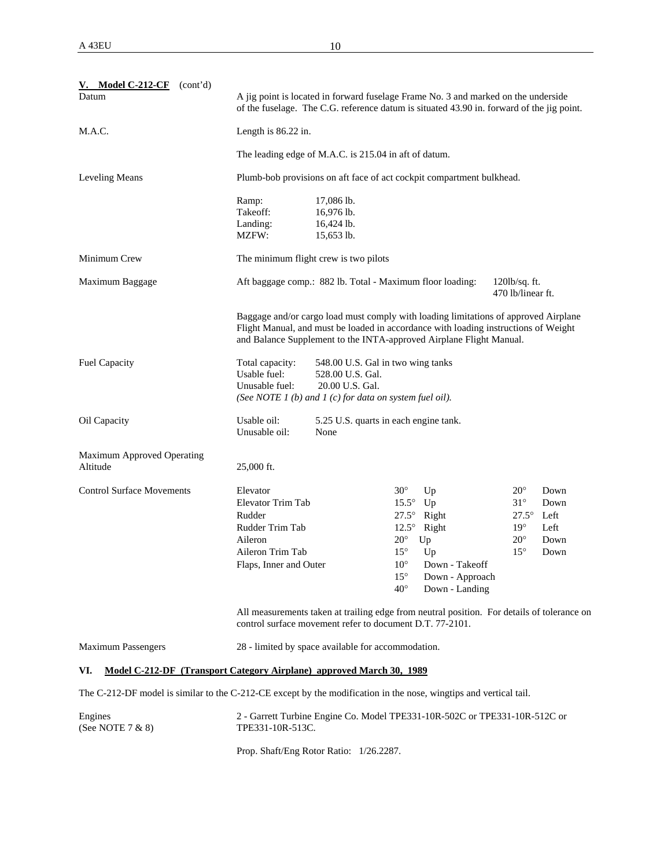| V. Model $C-212-CF$<br>(cont'd)<br>Datum | A jig point is located in forward fuselage Frame No. 3 and marked on the underside<br>of the fuselage. The C.G. reference datum is situated 43.90 in. forward of the jig point. |
|------------------------------------------|---------------------------------------------------------------------------------------------------------------------------------------------------------------------------------|
| M.A.C.                                   | Length is $86.22$ in.                                                                                                                                                           |
|                                          | The leading edge of M.A.C. is 215.04 in aft of datum.                                                                                                                           |
| Leveling Means                           | Plumb-bob provisions on aft face of act cockpit compartment bulkhead.                                                                                                           |

|                                               | Ramp:<br>Takeoff:<br>Landing:<br>MZFW:                                                                                     | 17,086 lb.<br>16,976 lb.<br>16,424 lb.<br>15,653 lb.                                                                                                                                                                                              |                                                                                                                            |                                                                                                              |                                                                                          |                                              |
|-----------------------------------------------|----------------------------------------------------------------------------------------------------------------------------|---------------------------------------------------------------------------------------------------------------------------------------------------------------------------------------------------------------------------------------------------|----------------------------------------------------------------------------------------------------------------------------|--------------------------------------------------------------------------------------------------------------|------------------------------------------------------------------------------------------|----------------------------------------------|
| Minimum Crew                                  |                                                                                                                            | The minimum flight crew is two pilots                                                                                                                                                                                                             |                                                                                                                            |                                                                                                              |                                                                                          |                                              |
| Maximum Baggage                               |                                                                                                                            | Aft baggage comp.: 882 lb. Total - Maximum floor loading:                                                                                                                                                                                         |                                                                                                                            |                                                                                                              | $120lb/sq.$ ft.<br>470 lb/linear ft.                                                     |                                              |
|                                               |                                                                                                                            | Baggage and/or cargo load must comply with loading limitations of approved Airplane<br>Flight Manual, and must be loaded in accordance with loading instructions of Weight<br>and Balance Supplement to the INTA-approved Airplane Flight Manual. |                                                                                                                            |                                                                                                              |                                                                                          |                                              |
| <b>Fuel Capacity</b>                          | Total capacity:<br>Usable fuel:<br>Unusable fuel:                                                                          | 548.00 U.S. Gal in two wing tanks<br>528.00 U.S. Gal.<br>20.00 U.S. Gal.<br>(See NOTE 1 (b) and 1 (c) for data on system fuel oil).                                                                                                               |                                                                                                                            |                                                                                                              |                                                                                          |                                              |
| Oil Capacity                                  | Usable oil:<br>Unusable oil:                                                                                               | 5.25 U.S. quarts in each engine tank.<br>None                                                                                                                                                                                                     |                                                                                                                            |                                                                                                              |                                                                                          |                                              |
| <b>Maximum Approved Operating</b><br>Altitude | 25,000 ft.                                                                                                                 |                                                                                                                                                                                                                                                   |                                                                                                                            |                                                                                                              |                                                                                          |                                              |
| <b>Control Surface Movements</b>              | Elevator<br><b>Elevator Trim Tab</b><br>Rudder<br>Rudder Trim Tab<br>Aileron<br>Aileron Trim Tab<br>Flaps, Inner and Outer |                                                                                                                                                                                                                                                   | $30^\circ$<br>$15.5^\circ$<br>$12.5^\circ$<br>$20^{\circ}$<br>$15^{\circ}$<br>$10^{\circ}$<br>$15^{\circ}$<br>$40^{\circ}$ | Up<br>Up<br>$27.5^{\circ}$ Right<br>Right<br>Up<br>Up<br>Down - Takeoff<br>Down - Approach<br>Down - Landing | $20^{\circ}$<br>$31^\circ$<br>$27.5^\circ$<br>$19^\circ$<br>$20^{\circ}$<br>$15^{\circ}$ | Down<br>Down<br>Left<br>Left<br>Down<br>Down |

All measurements taken at trailing edge from neutral position. For details of tolerance on control surface movement refer to document D.T. 77-2101.

| <b>Maximum Passengers</b> | 28 - limited by space available for accommodation. |  |
|---------------------------|----------------------------------------------------|--|
|                           |                                                    |  |

#### **VI. Model C-212-DF (Transport Category Airplane) approved March 30, 1989**

The C-212-DF model is similar to the C-212-CE except by the modification in the nose, wingtips and vertical tail.

| Engines             | 2 - Garrett Turbine Engine Co. Model TPE331-10R-502C or TPE331-10R-512C or |
|---------------------|----------------------------------------------------------------------------|
| (See NOTE $7 & 8$ ) | TPE331-10R-513C.                                                           |
|                     |                                                                            |

Prop. Shaft/Eng Rotor Ratio: 1/26.2287.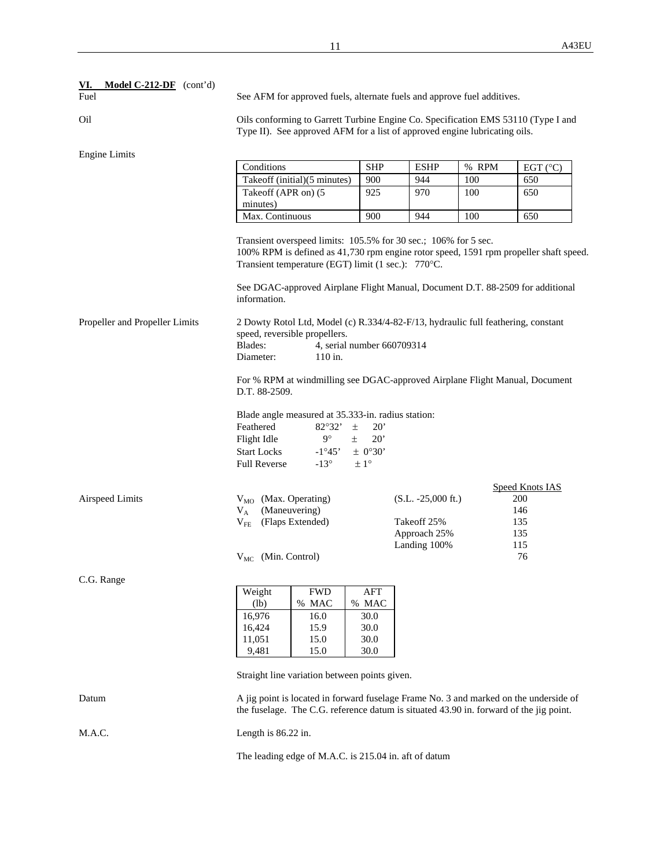| <b>Model C-212-DF</b> (cont'd)<br><u>VI.</u><br>Fuel | See AFM for approved fuels, alternate fuels and approve fuel additives.                                                                                         |                                                                                                                          |                                                                |                              |                                                                 |                                                                                                                                                                                                                                                              |  |  |
|------------------------------------------------------|-----------------------------------------------------------------------------------------------------------------------------------------------------------------|--------------------------------------------------------------------------------------------------------------------------|----------------------------------------------------------------|------------------------------|-----------------------------------------------------------------|--------------------------------------------------------------------------------------------------------------------------------------------------------------------------------------------------------------------------------------------------------------|--|--|
| Oil                                                  | Oils conforming to Garrett Turbine Engine Co. Specification EMS 53110 (Type I and<br>Type II). See approved AFM for a list of approved engine lubricating oils. |                                                                                                                          |                                                                |                              |                                                                 |                                                                                                                                                                                                                                                              |  |  |
| Engine Limits                                        |                                                                                                                                                                 |                                                                                                                          |                                                                |                              |                                                                 |                                                                                                                                                                                                                                                              |  |  |
|                                                      | Conditions                                                                                                                                                      |                                                                                                                          | <b>SHP</b>                                                     | <b>ESHP</b>                  | % RPM                                                           | EGT $(^{\circ}C)$                                                                                                                                                                                                                                            |  |  |
|                                                      |                                                                                                                                                                 | Takeoff (initial)(5 minutes)                                                                                             | 900                                                            | 944                          | 100                                                             | 650                                                                                                                                                                                                                                                          |  |  |
|                                                      | Takeoff (APR on) (5<br>minutes)                                                                                                                                 |                                                                                                                          | 925                                                            | 970                          | 100                                                             | 650                                                                                                                                                                                                                                                          |  |  |
|                                                      | Max. Continuous                                                                                                                                                 |                                                                                                                          | 900                                                            | 944                          | 100                                                             | 650                                                                                                                                                                                                                                                          |  |  |
| Propeller and Propeller Limits                       | information.<br>Blades:                                                                                                                                         | Transient temperature (EGT) limit (1 sec.): 770°C.<br>speed, reversible propellers.                                      |                                                                |                              | Transient overspeed limits: 105.5% for 30 sec.; 106% for 5 sec. | 100% RPM is defined as 41,730 rpm engine rotor speed, 1591 rpm propeller shaft speed.<br>See DGAC-approved Airplane Flight Manual, Document D.T. 88-2509 for additional<br>2 Dowty Rotol Ltd, Model (c) R.334/4-82-F/13, hydraulic full feathering, constant |  |  |
|                                                      | Diameter:                                                                                                                                                       | 110 in.                                                                                                                  | 4, serial number 660709314                                     |                              |                                                                 |                                                                                                                                                                                                                                                              |  |  |
|                                                      | For % RPM at windmilling see DGAC-approved Airplane Flight Manual, Document<br>D.T. 88-2509.                                                                    |                                                                                                                          |                                                                |                              |                                                                 |                                                                                                                                                                                                                                                              |  |  |
|                                                      | Feathered<br>Flight Idle<br><b>Start Locks</b><br><b>Full Reverse</b>                                                                                           | Blade angle measured at 35.333-in. radius station:<br>$82^{\circ}32'$<br>$9^{\circ}$<br>$-1^{\circ}45'$<br>$-13^{\circ}$ | $\pm$<br>20'<br>20'<br>$\pm$<br>$\pm$ 0°30'<br>$\pm 1^{\circ}$ |                              |                                                                 |                                                                                                                                                                                                                                                              |  |  |
|                                                      |                                                                                                                                                                 |                                                                                                                          |                                                                |                              |                                                                 | <b>Speed Knots IAS</b>                                                                                                                                                                                                                                       |  |  |
| Airspeed Limits                                      | $V_{MO}$ (Max. Operating)                                                                                                                                       |                                                                                                                          |                                                                | $(S.L. -25,000 \text{ ft.})$ |                                                                 | 200                                                                                                                                                                                                                                                          |  |  |
|                                                      | $V_A$                                                                                                                                                           | (Maneuvering)                                                                                                            |                                                                |                              |                                                                 | 146                                                                                                                                                                                                                                                          |  |  |
|                                                      | $V_{FE}$ (Flaps Extended)                                                                                                                                       |                                                                                                                          | Takeoff 25%                                                    |                              | 135                                                             |                                                                                                                                                                                                                                                              |  |  |
|                                                      |                                                                                                                                                                 |                                                                                                                          | Approach 25%                                                   |                              | 135                                                             |                                                                                                                                                                                                                                                              |  |  |
|                                                      |                                                                                                                                                                 |                                                                                                                          | Landing 100%                                                   |                              | 115                                                             |                                                                                                                                                                                                                                                              |  |  |
|                                                      | $V_{MC}$ (Min. Control)                                                                                                                                         |                                                                                                                          |                                                                |                              |                                                                 | 76                                                                                                                                                                                                                                                           |  |  |
| C.G. Range                                           |                                                                                                                                                                 |                                                                                                                          |                                                                |                              |                                                                 |                                                                                                                                                                                                                                                              |  |  |
|                                                      | Weight                                                                                                                                                          | <b>FWD</b>                                                                                                               | <b>AFT</b>                                                     |                              |                                                                 |                                                                                                                                                                                                                                                              |  |  |
|                                                      | (lb)                                                                                                                                                            | % MAC                                                                                                                    | % MAC                                                          |                              |                                                                 |                                                                                                                                                                                                                                                              |  |  |
|                                                      | 16,976                                                                                                                                                          | 16.0                                                                                                                     | 30.0                                                           |                              |                                                                 |                                                                                                                                                                                                                                                              |  |  |
|                                                      | 16,424                                                                                                                                                          | 15.9                                                                                                                     | 30.0                                                           |                              |                                                                 |                                                                                                                                                                                                                                                              |  |  |
|                                                      | 11,051                                                                                                                                                          | 15.0                                                                                                                     | 30.0                                                           |                              |                                                                 |                                                                                                                                                                                                                                                              |  |  |
|                                                      | 9,481                                                                                                                                                           | 15.0                                                                                                                     | 30.0                                                           |                              |                                                                 |                                                                                                                                                                                                                                                              |  |  |
|                                                      |                                                                                                                                                                 | Straight line variation between points given.                                                                            |                                                                |                              |                                                                 |                                                                                                                                                                                                                                                              |  |  |
| Datum                                                |                                                                                                                                                                 |                                                                                                                          |                                                                |                              |                                                                 | A jig point is located in forward fuselage Frame No. 3 and marked on the underside of<br>the fuselage. The C.G. reference datum is situated 43.90 in. forward of the jig point.                                                                              |  |  |
| M.A.C.                                               | Length is 86.22 in.                                                                                                                                             |                                                                                                                          |                                                                |                              |                                                                 |                                                                                                                                                                                                                                                              |  |  |

The leading edge of M.A.C. is 215.04 in. aft of datum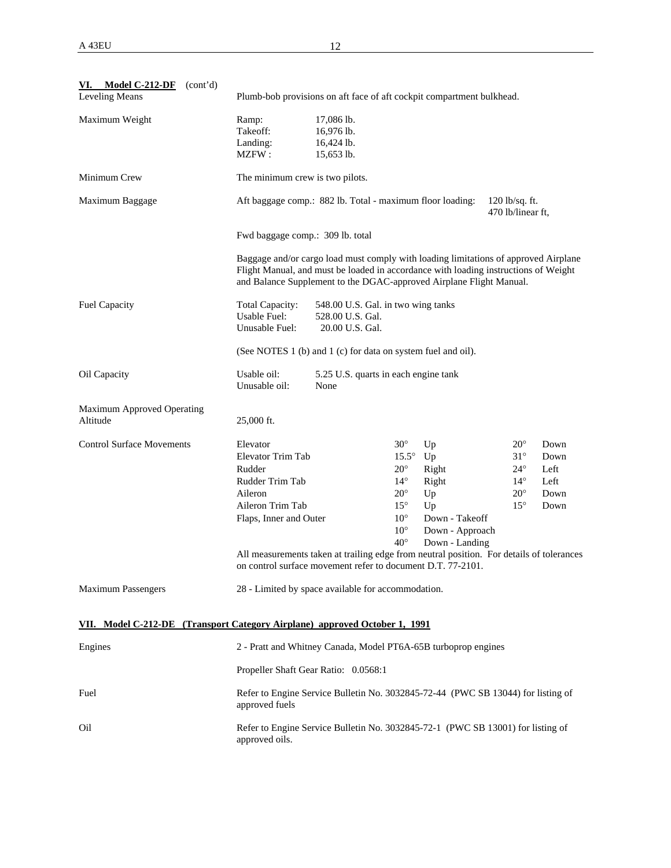| VI. Model C-212-DF $(cont'd)$<br><b>Leveling Means</b>                     |                                                                                                                     | Plumb-bob provisions on aft face of aft cockpit compartment bulkhead.                                                                                                                                                                             |                                                                                                                                                 |                                                                                         |                                                                                            |                                              |  |
|----------------------------------------------------------------------------|---------------------------------------------------------------------------------------------------------------------|---------------------------------------------------------------------------------------------------------------------------------------------------------------------------------------------------------------------------------------------------|-------------------------------------------------------------------------------------------------------------------------------------------------|-----------------------------------------------------------------------------------------|--------------------------------------------------------------------------------------------|----------------------------------------------|--|
| Maximum Weight                                                             | Ramp:<br>Takeoff:<br>Landing:<br>MZFW:                                                                              | 17,086 lb.<br>16,976 lb.<br>16,424 lb.<br>15,653 lb.                                                                                                                                                                                              |                                                                                                                                                 |                                                                                         |                                                                                            |                                              |  |
| Minimum Crew                                                               | The minimum crew is two pilots.                                                                                     |                                                                                                                                                                                                                                                   |                                                                                                                                                 |                                                                                         |                                                                                            |                                              |  |
| Maximum Baggage                                                            |                                                                                                                     | Aft baggage comp.: 882 lb. Total - maximum floor loading:                                                                                                                                                                                         |                                                                                                                                                 |                                                                                         | $120$ lb/sq. ft.<br>470 lb/linear ft,                                                      |                                              |  |
|                                                                            | Fwd baggage comp.: 309 lb. total                                                                                    |                                                                                                                                                                                                                                                   |                                                                                                                                                 |                                                                                         |                                                                                            |                                              |  |
|                                                                            |                                                                                                                     | Baggage and/or cargo load must comply with loading limitations of approved Airplane<br>Flight Manual, and must be loaded in accordance with loading instructions of Weight<br>and Balance Supplement to the DGAC-approved Airplane Flight Manual. |                                                                                                                                                 |                                                                                         |                                                                                            |                                              |  |
| Fuel Capacity                                                              | Total Capacity:<br>Usable Fuel:<br>Unusable Fuel:                                                                   | 548.00 U.S. Gal. in two wing tanks<br>528.00 U.S. Gal.<br>20.00 U.S. Gal.                                                                                                                                                                         |                                                                                                                                                 |                                                                                         |                                                                                            |                                              |  |
|                                                                            | (See NOTES 1 (b) and 1 (c) for data on system fuel and oil).                                                        |                                                                                                                                                                                                                                                   |                                                                                                                                                 |                                                                                         |                                                                                            |                                              |  |
| Oil Capacity                                                               | Usable oil:<br>Unusable oil:                                                                                        | 5.25 U.S. quarts in each engine tank<br>None                                                                                                                                                                                                      |                                                                                                                                                 |                                                                                         |                                                                                            |                                              |  |
| <b>Maximum Approved Operating</b><br>Altitude                              | 25,000 ft.                                                                                                          |                                                                                                                                                                                                                                                   |                                                                                                                                                 |                                                                                         |                                                                                            |                                              |  |
| <b>Control Surface Movements</b>                                           | Elevator<br>Elevator Trim Tab<br>Rudder<br>Rudder Trim Tab<br>Aileron<br>Aileron Trim Tab<br>Flaps, Inner and Outer |                                                                                                                                                                                                                                                   | $30^\circ$<br>$15.5^{\circ}$ Up<br>$20^{\circ}$<br>$14^{\circ}$<br>$20^{\circ}$<br>$15^{\circ}$<br>$10^{\circ}$<br>$10^{\circ}$<br>$40^{\circ}$ | Up<br>Right<br>Right<br>Up<br>Up<br>Down - Takeoff<br>Down - Approach<br>Down - Landing | $20^{\circ}$<br>$31^\circ$<br>$24^{\circ}$<br>$14^{\circ}$<br>$20^{\circ}$<br>$15^{\circ}$ | Down<br>Down<br>Left<br>Left<br>Down<br>Down |  |
|                                                                            |                                                                                                                     | All measurements taken at trailing edge from neutral position. For details of tolerances<br>on control surface movement refer to document D.T. 77-2101.                                                                                           |                                                                                                                                                 |                                                                                         |                                                                                            |                                              |  |
| <b>Maximum Passengers</b>                                                  |                                                                                                                     | 28 - Limited by space available for accommodation.                                                                                                                                                                                                |                                                                                                                                                 |                                                                                         |                                                                                            |                                              |  |
| VII. Model C-212-DE (Transport Category Airplane) approved October 1, 1991 |                                                                                                                     |                                                                                                                                                                                                                                                   |                                                                                                                                                 |                                                                                         |                                                                                            |                                              |  |
| Engines                                                                    |                                                                                                                     | 2 - Pratt and Whitney Canada, Model PT6A-65B turboprop engines                                                                                                                                                                                    |                                                                                                                                                 |                                                                                         |                                                                                            |                                              |  |
|                                                                            |                                                                                                                     | Propeller Shaft Gear Ratio: 0.0568:1                                                                                                                                                                                                              |                                                                                                                                                 |                                                                                         |                                                                                            |                                              |  |
| Fuel                                                                       | approved fuels                                                                                                      | Refer to Engine Service Bulletin No. 3032845-72-44 (PWC SB 13044) for listing of                                                                                                                                                                  |                                                                                                                                                 |                                                                                         |                                                                                            |                                              |  |

Oil **Refer to Engine Service Bulletin No. 3032845-72-1** (PWC SB 13001) for listing of approved oils.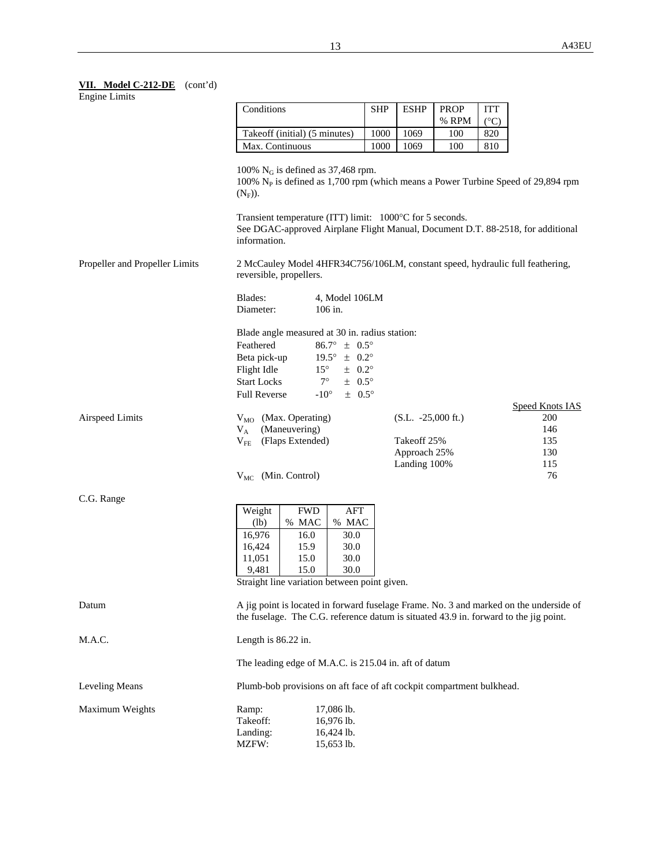# **VII. Model C-212-DE** (cont'd)

Engine Limits

|                                | Conditions                                                                                                                                                                                            |                                            |                                | SHP  | <b>ESHP</b>                  | <b>PROP</b> | <b>ITT</b>    |                                                                                                                                                                                 |
|--------------------------------|-------------------------------------------------------------------------------------------------------------------------------------------------------------------------------------------------------|--------------------------------------------|--------------------------------|------|------------------------------|-------------|---------------|---------------------------------------------------------------------------------------------------------------------------------------------------------------------------------|
|                                |                                                                                                                                                                                                       |                                            |                                |      |                              | % RPM       | $(^{\circ}C)$ |                                                                                                                                                                                 |
|                                |                                                                                                                                                                                                       | Takeoff (initial) (5 minutes)              |                                | 1000 | 1069                         | 100         | 820           |                                                                                                                                                                                 |
|                                | Max. Continuous                                                                                                                                                                                       |                                            |                                | 1000 | 1069                         | 100         | 810           |                                                                                                                                                                                 |
|                                | 100% $N_G$ is defined as 37,468 rpm.<br>100% $N_p$ is defined as 1,700 rpm (which means a Power Turbine Speed of 29,894 rpm<br>$(N_F)$ ).<br>Transient temperature (ITT) limit: 1000°C for 5 seconds. |                                            |                                |      |                              |             |               |                                                                                                                                                                                 |
|                                | information.                                                                                                                                                                                          |                                            |                                |      |                              |             |               | See DGAC-approved Airplane Flight Manual, Document D.T. 88-2518, for additional                                                                                                 |
| Propeller and Propeller Limits | reversible, propellers.                                                                                                                                                                               |                                            |                                |      |                              |             |               | 2 McCauley Model 4HFR34C756/106LM, constant speed, hydraulic full feathering,                                                                                                   |
|                                | Blades:<br>Diameter:                                                                                                                                                                                  |                                            | 4, Model 106LM<br>106 in.      |      |                              |             |               |                                                                                                                                                                                 |
|                                | Blade angle measured at 30 in. radius station:<br>Feathered                                                                                                                                           |                                            | $86.7^{\circ} \pm 0.5^{\circ}$ |      |                              |             |               |                                                                                                                                                                                 |
|                                | Beta pick-up                                                                                                                                                                                          |                                            | $19.5^{\circ} \pm 0.2^{\circ}$ |      |                              |             |               |                                                                                                                                                                                 |
|                                | Flight Idle                                                                                                                                                                                           | $15^{\circ}$                               | $\pm$ 0.2°                     |      |                              |             |               |                                                                                                                                                                                 |
|                                | <b>Start Locks</b>                                                                                                                                                                                    | $7^\circ$                                  | $\pm$ 0.5°                     |      |                              |             |               |                                                                                                                                                                                 |
|                                | <b>Full Reverse</b>                                                                                                                                                                                   | $-10^{\circ}$                              | $\pm$ 0.5°                     |      |                              |             |               | <b>Speed Knots IAS</b>                                                                                                                                                          |
| <b>Airspeed Limits</b>         | $V_A$                                                                                                                                                                                                 | $V_{MO}$ (Max. Operating)<br>(Maneuvering) |                                |      | $(S.L. -25,000 \text{ ft.})$ |             |               | 200<br>146                                                                                                                                                                      |
|                                | $\rm V_{FE}$                                                                                                                                                                                          | (Flaps Extended)                           |                                |      | Takeoff 25%<br>Approach 25%  |             |               | 135<br>130                                                                                                                                                                      |
|                                | $V_{MC}$ (Min. Control)                                                                                                                                                                               |                                            |                                |      | Landing 100%                 |             |               | 115<br>76                                                                                                                                                                       |
| C.G. Range                     |                                                                                                                                                                                                       |                                            |                                |      |                              |             |               |                                                                                                                                                                                 |
|                                | Weight                                                                                                                                                                                                | <b>FWD</b>                                 | AFT                            |      |                              |             |               |                                                                                                                                                                                 |
|                                | (lb)                                                                                                                                                                                                  | % MAC                                      | % MAC                          |      |                              |             |               |                                                                                                                                                                                 |
|                                | 16,976                                                                                                                                                                                                | 16.0                                       | 30.0                           |      |                              |             |               |                                                                                                                                                                                 |
|                                | 16,424                                                                                                                                                                                                | 15.9                                       | 30.0                           |      |                              |             |               |                                                                                                                                                                                 |
|                                | 11,051                                                                                                                                                                                                | 15.0                                       | 30.0                           |      |                              |             |               |                                                                                                                                                                                 |
|                                | 9,481                                                                                                                                                                                                 | 15.0                                       | 30.0                           |      |                              |             |               |                                                                                                                                                                                 |
|                                | Straight line variation between point given.                                                                                                                                                          |                                            |                                |      |                              |             |               |                                                                                                                                                                                 |
| Datum                          |                                                                                                                                                                                                       |                                            |                                |      |                              |             |               | A jig point is located in forward fuselage Frame. No. 3 and marked on the underside of<br>the fuselage. The C.G. reference datum is situated 43.9 in. forward to the jig point. |
| M.A.C.                         | Length is 86.22 in.                                                                                                                                                                                   |                                            |                                |      |                              |             |               |                                                                                                                                                                                 |
|                                | The leading edge of M.A.C. is 215.04 in. aft of datum                                                                                                                                                 |                                            |                                |      |                              |             |               |                                                                                                                                                                                 |
| Leveling Means                 | Plumb-bob provisions on aft face of aft cockpit compartment bulkhead.                                                                                                                                 |                                            |                                |      |                              |             |               |                                                                                                                                                                                 |
| Maximum Weights                | Ramp:                                                                                                                                                                                                 |                                            | 17,086 lb.                     |      |                              |             |               |                                                                                                                                                                                 |
|                                | Takeoff:                                                                                                                                                                                              |                                            | 16,976 lb.                     |      |                              |             |               |                                                                                                                                                                                 |
|                                | Landing:                                                                                                                                                                                              |                                            | 16,424 lb.                     |      |                              |             |               |                                                                                                                                                                                 |
|                                | MZFW:                                                                                                                                                                                                 |                                            | 15,653 lb.                     |      |                              |             |               |                                                                                                                                                                                 |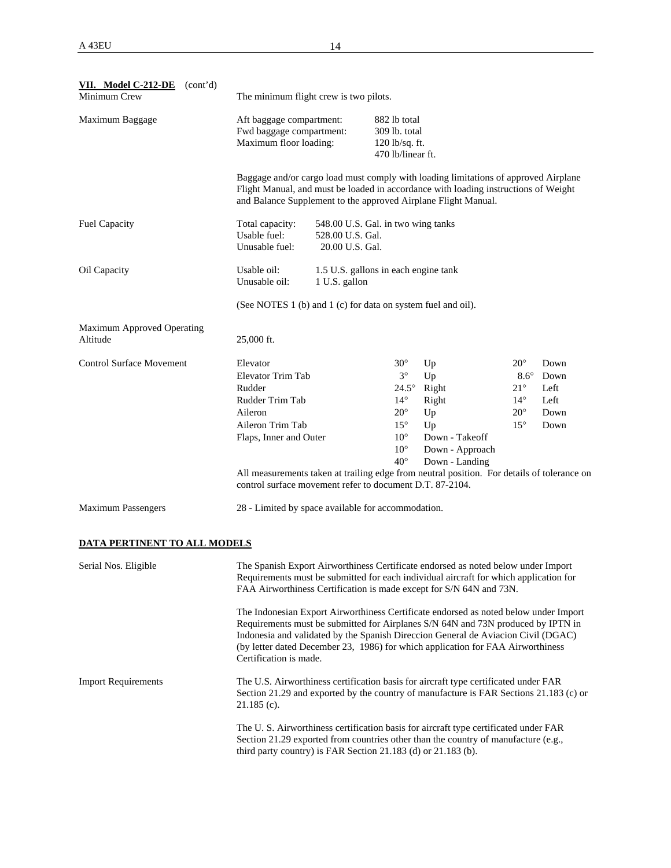| VII. Model C-212-DE<br>(cont'd)<br>Minimum Crew | The minimum flight crew is two pilots.                                                                                                                                                                                                                                                                                                                                                                                                                                                                                                                                                                                          |                                                                           |                                                                                                                                         |                                                                                                                                                                                                                                              |                                                                                             |                                              |  |
|-------------------------------------------------|---------------------------------------------------------------------------------------------------------------------------------------------------------------------------------------------------------------------------------------------------------------------------------------------------------------------------------------------------------------------------------------------------------------------------------------------------------------------------------------------------------------------------------------------------------------------------------------------------------------------------------|---------------------------------------------------------------------------|-----------------------------------------------------------------------------------------------------------------------------------------|----------------------------------------------------------------------------------------------------------------------------------------------------------------------------------------------------------------------------------------------|---------------------------------------------------------------------------------------------|----------------------------------------------|--|
| Maximum Baggage                                 | Aft baggage compartment:<br>Fwd baggage compartment:<br>Maximum floor loading:                                                                                                                                                                                                                                                                                                                                                                                                                                                                                                                                                  |                                                                           | 882 lb total<br>309 lb. total<br>120 lb/sq. ft.<br>470 lb/linear ft.                                                                    |                                                                                                                                                                                                                                              |                                                                                             |                                              |  |
|                                                 |                                                                                                                                                                                                                                                                                                                                                                                                                                                                                                                                                                                                                                 |                                                                           |                                                                                                                                         | Baggage and/or cargo load must comply with loading limitations of approved Airplane<br>Flight Manual, and must be loaded in accordance with loading instructions of Weight<br>and Balance Supplement to the approved Airplane Flight Manual. |                                                                                             |                                              |  |
| <b>Fuel Capacity</b>                            | Total capacity:<br>Usable fuel:<br>Unusable fuel:                                                                                                                                                                                                                                                                                                                                                                                                                                                                                                                                                                               | 548.00 U.S. Gal. in two wing tanks<br>528.00 U.S. Gal.<br>20.00 U.S. Gal. |                                                                                                                                         |                                                                                                                                                                                                                                              |                                                                                             |                                              |  |
| Oil Capacity                                    | Usable oil:<br>Unusable oil:                                                                                                                                                                                                                                                                                                                                                                                                                                                                                                                                                                                                    | 1.5 U.S. gallons in each engine tank<br>1 U.S. gallon                     |                                                                                                                                         |                                                                                                                                                                                                                                              |                                                                                             |                                              |  |
|                                                 | (See NOTES 1 (b) and 1 (c) for data on system fuel and oil).                                                                                                                                                                                                                                                                                                                                                                                                                                                                                                                                                                    |                                                                           |                                                                                                                                         |                                                                                                                                                                                                                                              |                                                                                             |                                              |  |
| Maximum Approved Operating<br>Altitude          | 25,000 ft.                                                                                                                                                                                                                                                                                                                                                                                                                                                                                                                                                                                                                      |                                                                           |                                                                                                                                         |                                                                                                                                                                                                                                              |                                                                                             |                                              |  |
| <b>Control Surface Movement</b>                 | Elevator<br>Elevator Trim Tab<br>Rudder<br>Rudder Trim Tab<br>Aileron<br>Aileron Trim Tab<br>Flaps, Inner and Outer<br>All measurements taken at trailing edge from neutral position. For details of tolerance on<br>control surface movement refer to document D.T. 87-2104.                                                                                                                                                                                                                                                                                                                                                   |                                                                           | $30^\circ$<br>$3^\circ$<br>$24.5^\circ$<br>$14^{\circ}$<br>$20^{\circ}$<br>$15^{\circ}$<br>$10^{\circ}$<br>$10^{\circ}$<br>$40^{\circ}$ | Up<br>Up<br>Right<br>Right<br>Up<br>Up<br>Down - Takeoff<br>Down - Approach<br>Down - Landing                                                                                                                                                | $20^{\circ}$<br>$8.6^\circ$<br>$21^{\circ}$<br>$14^{\circ}$<br>$20^{\circ}$<br>$15^{\circ}$ | Down<br>Down<br>Left<br>Left<br>Down<br>Down |  |
| <b>Maximum Passengers</b>                       | 28 - Limited by space available for accommodation.                                                                                                                                                                                                                                                                                                                                                                                                                                                                                                                                                                              |                                                                           |                                                                                                                                         |                                                                                                                                                                                                                                              |                                                                                             |                                              |  |
| DATA PERTINENT TO ALL MODELS                    |                                                                                                                                                                                                                                                                                                                                                                                                                                                                                                                                                                                                                                 |                                                                           |                                                                                                                                         |                                                                                                                                                                                                                                              |                                                                                             |                                              |  |
| Serial Nos. Eligible                            | The Spanish Export Airworthiness Certificate endorsed as noted below under Import<br>Requirements must be submitted for each individual aircraft for which application for<br>FAA Airworthiness Certification is made except for S/N 64N and 73N.<br>The Indonesian Export Airworthiness Certificate endorsed as noted below under Import<br>Requirements must be submitted for Airplanes S/N 64N and 73N produced by IPTN in<br>Indonesia and validated by the Spanish Direccion General de Aviacion Civil (DGAC)<br>(by letter dated December 23, 1986) for which application for FAA Airworthiness<br>Certification is made. |                                                                           |                                                                                                                                         |                                                                                                                                                                                                                                              |                                                                                             |                                              |  |
| <b>Import Requirements</b>                      | $21.185$ (c).                                                                                                                                                                                                                                                                                                                                                                                                                                                                                                                                                                                                                   |                                                                           |                                                                                                                                         | The U.S. Airworthiness certification basis for aircraft type certificated under FAR<br>Section 21.29 and exported by the country of manufacture is FAR Sections 21.183 (c) or                                                                |                                                                                             |                                              |  |
|                                                 | The U.S. Airworthiness certification basis for aircraft type certificated under FAR<br>Section 21.29 exported from countries other than the country of manufacture (e.g.,<br>third party country) is FAR Section 21.183 (d) or 21.183 (b).                                                                                                                                                                                                                                                                                                                                                                                      |                                                                           |                                                                                                                                         |                                                                                                                                                                                                                                              |                                                                                             |                                              |  |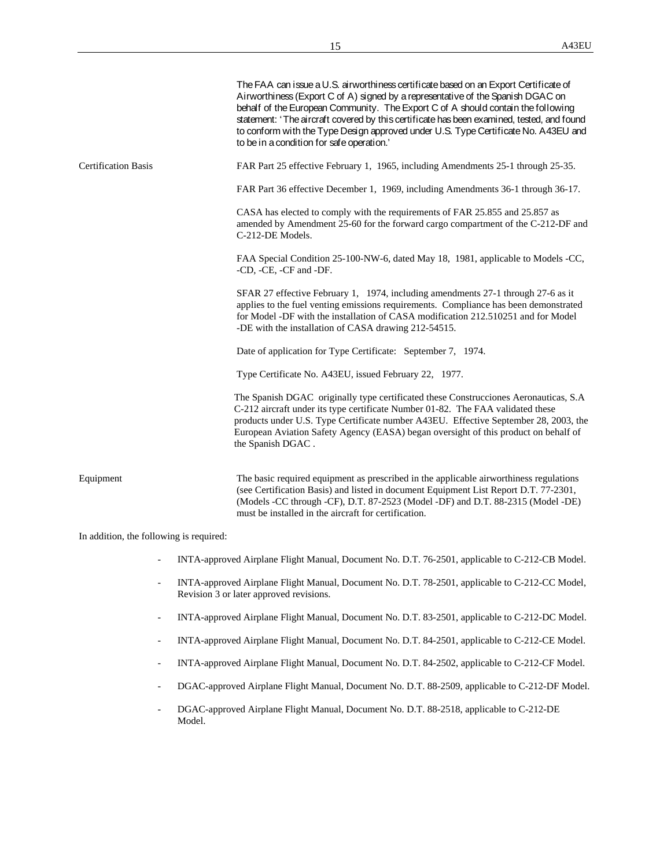|                            | The FAA can issue a U.S. airworthiness certificate based on an Export Certificate of<br>Airworthiness (Export C of A) signed by a representative of the Spanish DGAC on<br>behalf of the European Community. The Export C of A should contain the following<br>statement: 'The aircraft covered by this certificate has been examined, tested, and found<br>to conform with the Type Design approved under U.S. Type Certificate No. A43EU and<br>to be in a condition for safe operation.' |
|----------------------------|---------------------------------------------------------------------------------------------------------------------------------------------------------------------------------------------------------------------------------------------------------------------------------------------------------------------------------------------------------------------------------------------------------------------------------------------------------------------------------------------|
| <b>Certification Basis</b> | FAR Part 25 effective February 1, 1965, including Amendments 25-1 through 25-35.                                                                                                                                                                                                                                                                                                                                                                                                            |
|                            | FAR Part 36 effective December 1, 1969, including Amendments 36-1 through 36-17.                                                                                                                                                                                                                                                                                                                                                                                                            |
|                            | CASA has elected to comply with the requirements of FAR 25.855 and 25.857 as<br>amended by Amendment 25-60 for the forward cargo compartment of the C-212-DF and<br>C-212-DE Models.                                                                                                                                                                                                                                                                                                        |
|                            | FAA Special Condition 25-100-NW-6, dated May 18, 1981, applicable to Models -CC,<br>-CD, -CE, -CF and -DF.                                                                                                                                                                                                                                                                                                                                                                                  |
|                            | SFAR 27 effective February 1, 1974, including amendments 27-1 through 27-6 as it<br>applies to the fuel venting emissions requirements. Compliance has been demonstrated<br>for Model -DF with the installation of CASA modification 212.510251 and for Model<br>-DE with the installation of CASA drawing 212-54515.                                                                                                                                                                       |
|                            | Date of application for Type Certificate: September 7, 1974.                                                                                                                                                                                                                                                                                                                                                                                                                                |
|                            | Type Certificate No. A43EU, issued February 22, 1977.                                                                                                                                                                                                                                                                                                                                                                                                                                       |
|                            | The Spanish DGAC originally type certificated these Construcciones Aeronauticas, S.A<br>C-212 aircraft under its type certificate Number 01-82. The FAA validated these<br>products under U.S. Type Certificate number A43EU. Effective September 28, 2003, the<br>European Aviation Safety Agency (EASA) began oversight of this product on behalf of<br>the Spanish DGAC.                                                                                                                 |
| Equipment                  | The basic required equipment as prescribed in the applicable airworthiness regulations<br>(see Certification Basis) and listed in document Equipment List Report D.T. 77-2301,<br>(Models -CC through -CF), D.T. 87-2523 (Model -DF) and D.T. 88-2315 (Model -DE)<br>must be installed in the aircraft for certification.                                                                                                                                                                   |

In addition, the following is required:

- INTA-approved Airplane Flight Manual, Document No. D.T. 76-2501, applicable to C-212-CB Model.
- INTA-approved Airplane Flight Manual, Document No. D.T. 78-2501, applicable to C-212-CC Model, Revision 3 or later approved revisions.
- INTA-approved Airplane Flight Manual, Document No. D.T. 83-2501, applicable to C-212-DC Model.
- INTA-approved Airplane Flight Manual, Document No. D.T. 84-2501, applicable to C-212-CE Model.
- INTA-approved Airplane Flight Manual, Document No. D.T. 84-2502, applicable to C-212-CF Model.
- DGAC-approved Airplane Flight Manual, Document No. D.T. 88-2509, applicable to C-212-DF Model.
- DGAC-approved Airplane Flight Manual, Document No. D.T. 88-2518, applicable to C-212-DE Model.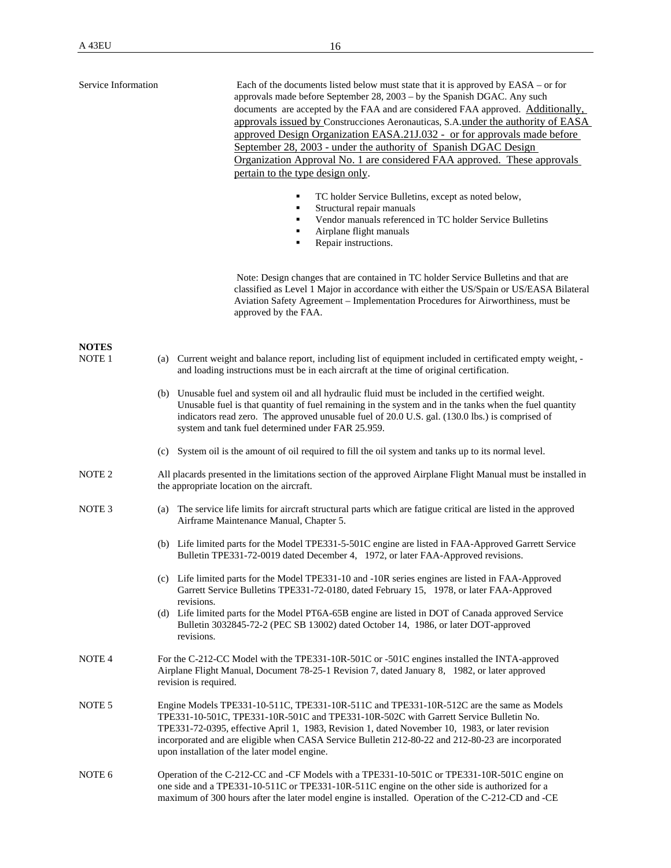| Service Information | Each of the documents listed below must state that it is approved by EASA – or for<br>approvals made before September 28, 2003 - by the Spanish DGAC. Any such<br>documents are accepted by the FAA and are considered FAA approved. Additionally,<br>approvals issued by Construcciones Aeronauticas, S.A.under the authority of EASA                                                                                                    |
|---------------------|-------------------------------------------------------------------------------------------------------------------------------------------------------------------------------------------------------------------------------------------------------------------------------------------------------------------------------------------------------------------------------------------------------------------------------------------|
|                     | approved Design Organization EASA.21J.032 - or for approvals made before<br>September 28, 2003 - under the authority of Spanish DGAC Design<br>Organization Approval No. 1 are considered FAA approved. These approvals<br>pertain to the type design only.                                                                                                                                                                               |
|                     | TC holder Service Bulletins, except as noted below,<br>٠<br>Structural repair manuals<br>٠<br>Vendor manuals referenced in TC holder Service Bulletins<br>٠<br>Airplane flight manuals<br>٠<br>Repair instructions.<br>٠                                                                                                                                                                                                                  |
|                     | Note: Design changes that are contained in TC holder Service Bulletins and that are<br>classified as Level 1 Major in accordance with either the US/Spain or US/EASA Bilateral<br>Aviation Safety Agreement - Implementation Procedures for Airworthiness, must be<br>approved by the FAA.                                                                                                                                                |
| <b>NOTES</b>        |                                                                                                                                                                                                                                                                                                                                                                                                                                           |
| NOTE <sub>1</sub>   | (a) Current weight and balance report, including list of equipment included in certificated empty weight, -<br>and loading instructions must be in each aircraft at the time of original certification.                                                                                                                                                                                                                                   |
|                     | (b) Unusable fuel and system oil and all hydraulic fluid must be included in the certified weight.<br>Unusable fuel is that quantity of fuel remaining in the system and in the tanks when the fuel quantity<br>indicators read zero. The approved unusable fuel of 20.0 U.S. gal. (130.0 lbs.) is comprised of<br>system and tank fuel determined under FAR 25.959.                                                                      |
|                     | System oil is the amount of oil required to fill the oil system and tanks up to its normal level.<br>(c)                                                                                                                                                                                                                                                                                                                                  |
| NOTE <sub>2</sub>   | All placards presented in the limitations section of the approved Airplane Flight Manual must be installed in<br>the appropriate location on the aircraft.                                                                                                                                                                                                                                                                                |
| NOTE <sub>3</sub>   | The service life limits for aircraft structural parts which are fatigue critical are listed in the approved<br>(a)<br>Airframe Maintenance Manual, Chapter 5.                                                                                                                                                                                                                                                                             |
|                     | (b) Life limited parts for the Model TPE331-5-501C engine are listed in FAA-Approved Garrett Service<br>Bulletin TPE331-72-0019 dated December 4, 1972, or later FAA-Approved revisions.                                                                                                                                                                                                                                                  |
|                     | (c) Life limited parts for the Model TPE331-10 and -10R series engines are listed in FAA-Approved<br>Garrett Service Bulletins TPE331-72-0180, dated February 15, 1978, or later FAA-Approved<br>revisions.                                                                                                                                                                                                                               |
|                     | (d) Life limited parts for the Model PT6A-65B engine are listed in DOT of Canada approved Service<br>Bulletin 3032845-72-2 (PEC SB 13002) dated October 14, 1986, or later DOT-approved<br>revisions.                                                                                                                                                                                                                                     |
| NOTE <sub>4</sub>   | For the C-212-CC Model with the TPE331-10R-501C or -501C engines installed the INTA-approved<br>Airplane Flight Manual, Document 78-25-1 Revision 7, dated January 8, 1982, or later approved<br>revision is required.                                                                                                                                                                                                                    |
| NOTE <sub>5</sub>   | Engine Models TPE331-10-511C, TPE331-10R-511C and TPE331-10R-512C are the same as Models<br>TPE331-10-501C, TPE331-10R-501C and TPE331-10R-502C with Garrett Service Bulletin No.<br>TPE331-72-0395, effective April 1, 1983, Revision 1, dated November 10, 1983, or later revision<br>incorporated and are eligible when CASA Service Bulletin 212-80-22 and 212-80-23 are incorporated<br>upon installation of the later model engine. |
| NOTE <sub>6</sub>   | Operation of the C-212-CC and -CF Models with a TPE331-10-501C or TPE331-10R-501C engine on<br>one side and a TPE331-10-511C or TPE331-10R-511C engine on the other side is authorized for a<br>maximum of 300 hours after the later model engine is installed. Operation of the C-212-CD and -CE                                                                                                                                         |